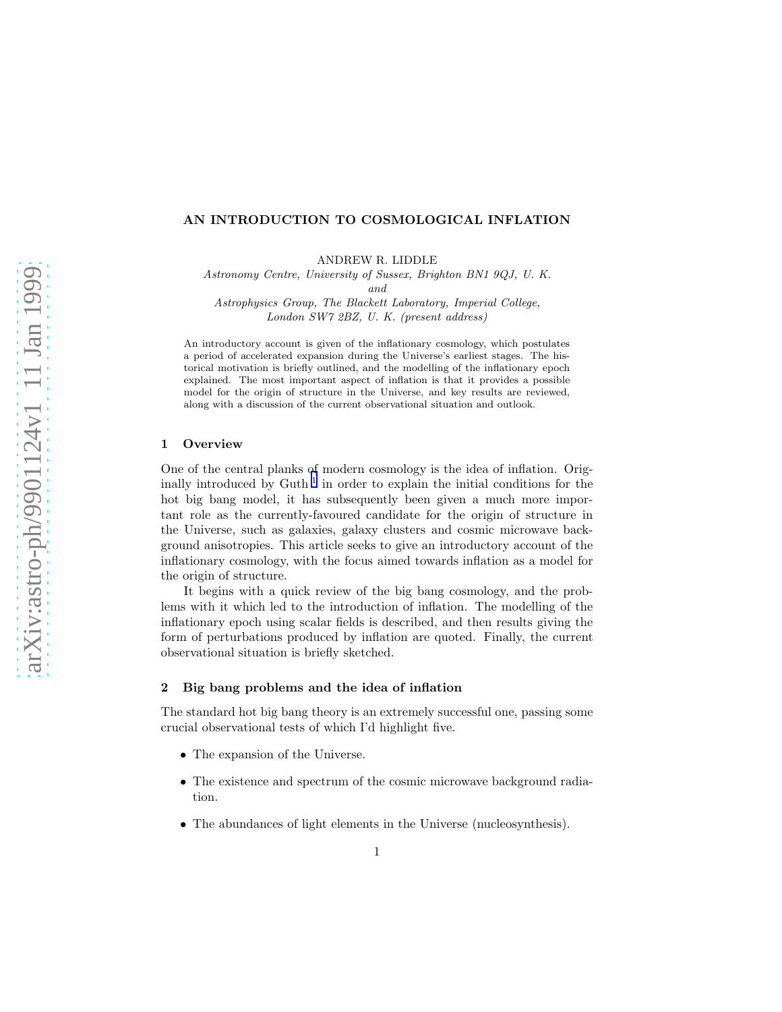# AN INTRODUCTION TO COSMOLOGICAL INFLATION

ANDREW R. LIDDLE

Astronomy Centre, University of Sussex, Brighton BN1 9QJ, U. K. and

Astrophysics Group, The Blackett Laboratory, Imperial College, London SW7 2BZ, U. K. (present address)

An introductory account is given of the inflationary cosmology, which postulates a period of accelerated expansion during the Universe's earliest stages. The historical motivation is briefly outlined, and the modelling of the inflationary epoch explained. The most important aspect of inflation is that it provides a possible model for the origin of structure in the Universe, and key results are reviewed, along with a discussion of the current observational situation and outlook.

#### 1 Overview

One of the central planks of modern cosmology is the idea of inflation. Orig-inally introduced by Guth<sup>[1](#page-33-0)</sup> in order to explain the initial conditions for the hot big bang model, it has subsequently been given a much more important role as the currently-favoured candidate for the origin of structure in the Universe, such as galaxies, galaxy clusters and cosmic microwave background anisotropies. This article seeks to give an introductory account of the inflationary cosmology, with the focus aimed towards inflation as a model for the origin of structure.

It begins with a quick review of the big bang cosmology, and the problems with it which led to the introduction of inflation. The modelling of the inflationary epoch using scalar fields is described, and then results giving the form of perturbations produced by inflation are quoted. Finally, the current observational situation is briefly sketched.

## 2 Big bang problems and the idea of inflation

The standard hot big bang theory is an extremely successful one, passing some crucial observational tests of which I'd highlight five.

- The expansion of the Universe.
- The existence and spectrum of the cosmic microwave background radiation.
- The abundances of light elements in the Universe (nucleosynthesis).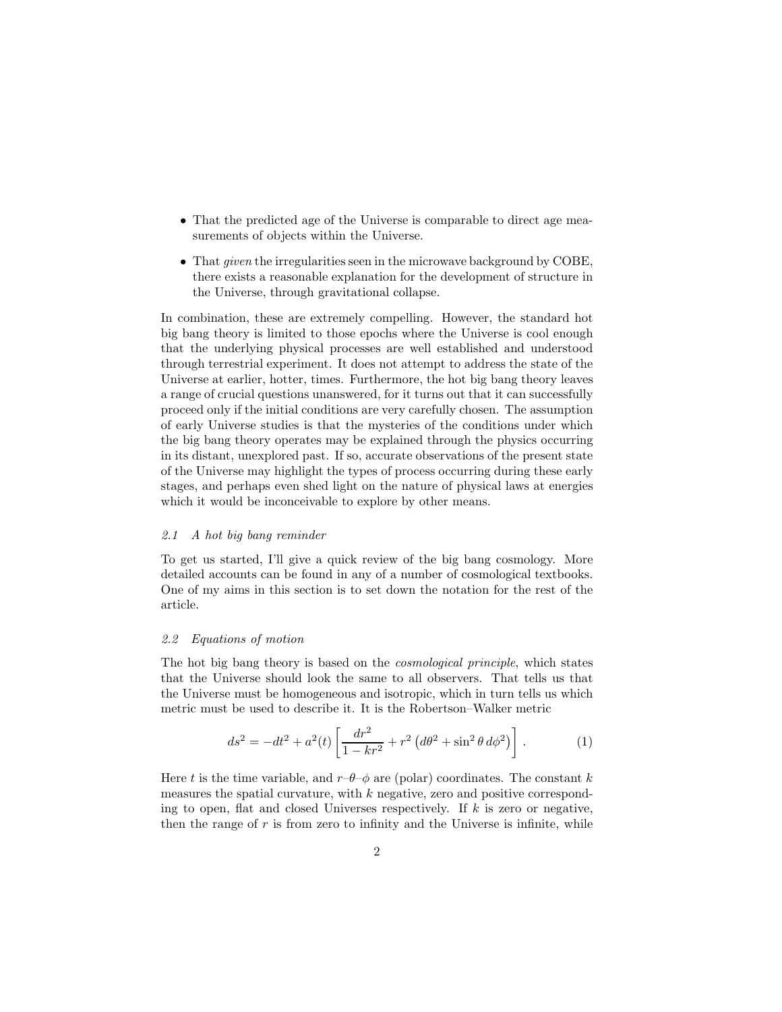- That the predicted age of the Universe is comparable to direct age measurements of objects within the Universe.
- That *given* the irregularities seen in the microwave background by COBE, there exists a reasonable explanation for the development of structure in the Universe, through gravitational collapse.

In combination, these are extremely compelling. However, the standard hot big bang theory is limited to those epochs where the Universe is cool enough that the underlying physical processes are well established and understood through terrestrial experiment. It does not attempt to address the state of the Universe at earlier, hotter, times. Furthermore, the hot big bang theory leaves a range of crucial questions unanswered, for it turns out that it can successfully proceed only if the initial conditions are very carefully chosen. The assumption of early Universe studies is that the mysteries of the conditions under which the big bang theory operates may be explained through the physics occurring in its distant, unexplored past. If so, accurate observations of the present state of the Universe may highlight the types of process occurring during these early stages, and perhaps even shed light on the nature of physical laws at energies which it would be inconceivable to explore by other means.

#### *2.1 A hot big bang reminder*

To get us started, I'll give a quick review of the big bang cosmology. More detailed accounts can be found in any of a number of cosmological textbooks. One of my aims in this section is to set down the notation for the rest of the article.

### *2.2 Equations of motion*

The hot big bang theory is based on the *cosmological principle*, which states that the Universe should look the same to all observers. That tells us that the Universe must be homogeneous and isotropic, which in turn tells us which metric must be used to describe it. It is the Robertson–Walker metric

$$
ds^{2} = -dt^{2} + a^{2}(t) \left[ \frac{dr^{2}}{1 - kr^{2}} + r^{2} (d\theta^{2} + \sin^{2} \theta d\phi^{2}) \right].
$$
 (1)

Here t is the time variable, and  $r-\theta-\phi$  are (polar) coordinates. The constant k measures the spatial curvature, with  $k$  negative, zero and positive corresponding to open, flat and closed Universes respectively. If  $k$  is zero or negative, then the range of  $r$  is from zero to infinity and the Universe is infinite, while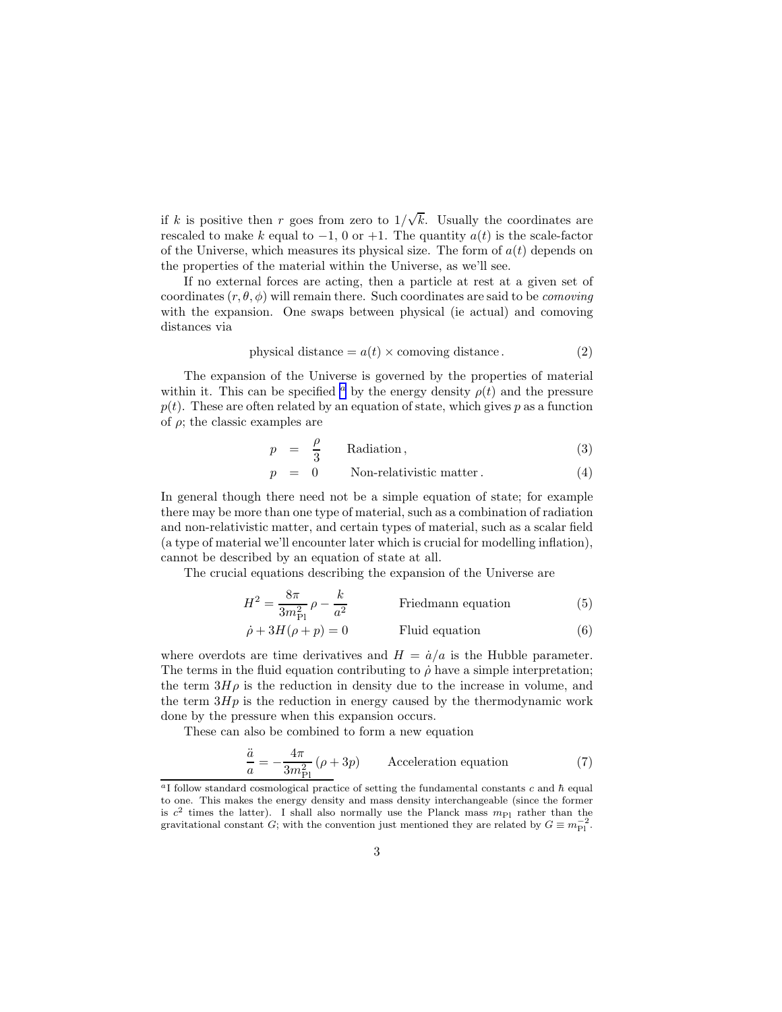if k is positive then r goes from zero to  $1/\sqrt{k}$ . Usually the coordinates are rescaled to make k equal to  $-1$ , 0 or  $+1$ . The quantity  $a(t)$  is the scale-factor of the Universe, which measures its physical size. The form of  $a(t)$  depends on the properties of the material within the Universe, as we'll see.

If no external forces are acting, then a particle at rest at a given set of coordinates  $(r, \theta, \phi)$  will remain there. Such coordinates are said to be *comoving* with the expansion. One swaps between physical (ie actual) and comoving distances via

physical distance = 
$$
a(t) \times
$$
 comoving distance. (2)

The expansion of the Universe is governed by the properties of material within it. This can be specified <sup>a</sup> by the energy density  $\rho(t)$  and the pressure  $p(t)$ . These are often related by an equation of state, which gives p as a function of  $\rho$ ; the classic examples are

$$
p = \frac{\rho}{3} \qquad \text{Radiation}, \tag{3}
$$

$$
p = 0
$$
 Non-relativistic matter. (4)

In general though there need not be a simple equation of state; for example there may be more than one type of material, such as a combination of radiation and non-relativistic matter, and certain types of material, such as a scalar field (a type of material we'll encounter later which is crucial for modelling inflation), cannot be described by an equation of state at all.

The crucial equations describing the expansion of the Universe are

$$
H^{2} = \frac{8\pi}{3m_{\rm Pl}^{2}}\,\rho - \frac{k}{a^{2}}
$$
 Friedman equation (5)

$$
\dot{\rho} + 3H(\rho + p) = 0
$$
   
Fluid equation (6)

where overdots are time derivatives and  $H = \dot{a}/a$  is the Hubble parameter. The terms in the fluid equation contributing to  $\dot{\rho}$  have a simple interpretation; the term  $3H\rho$  is the reduction in density due to the increase in volume, and the term  $3Hp$  is the reduction in energy caused by the thermodynamic work done by the pressure when this expansion occurs.

These can also be combined to form a new equation

$$
\frac{\ddot{a}}{a} = -\frac{4\pi}{3m_{\rm Pl}^2} (\rho + 3p) \qquad \text{Acceleration equation} \tag{7}
$$

<sup>&</sup>lt;sup>a</sup>I follow standard cosmological practice of setting the fundamental constants  $c$  and  $\hbar$  equal to one. This makes the energy density and mass density interchangeable (since the former is  $c^2$  times the latter). I shall also normally use the Planck mass  $m_{\text{Pl}}$  rather than the gravitational constant G; with the convention just mentioned they are related by  $G \equiv m_{\text{Pl}}^{-2}$ .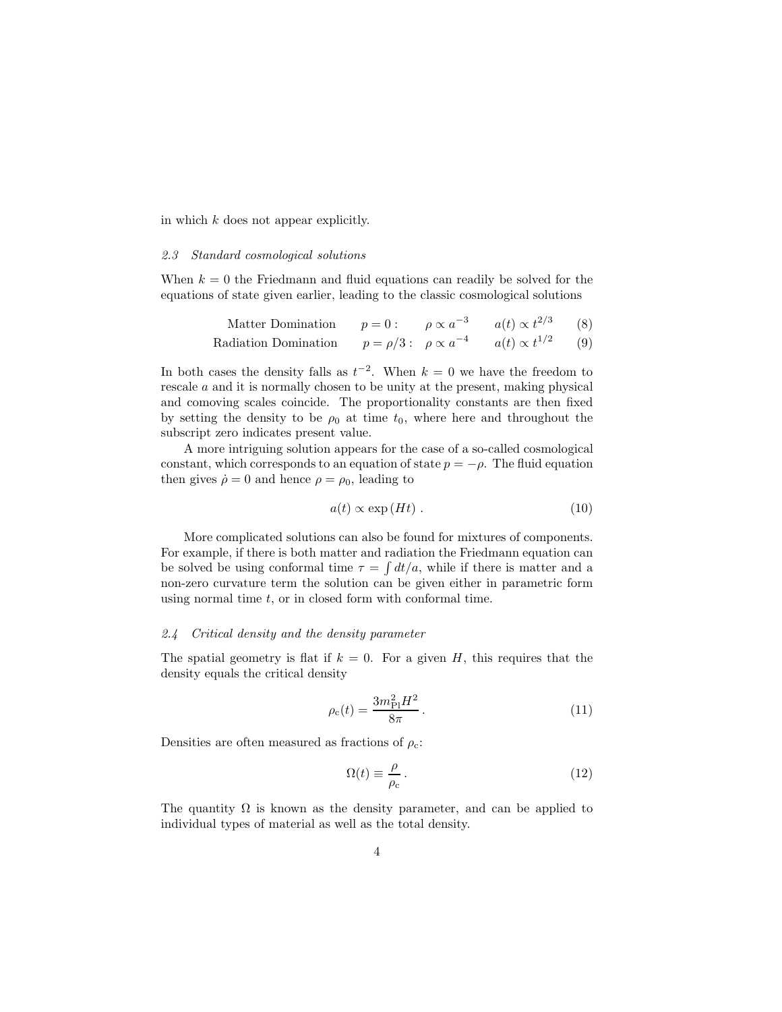in which  $k$  does not appear explicitly.

#### *2.3 Standard cosmological solutions*

When  $k = 0$  the Friedmann and fluid equations can readily be solved for the equations of state given earlier, leading to the classic cosmological solutions

Matter Domination

\n
$$
p = 0: \quad \rho \propto a^{-3} \quad a(t) \propto t^{2/3} \quad (8)
$$
\nRadiation Domination

\n
$$
p = \rho/3: \quad \rho \propto a^{-4} \quad a(t) \propto t^{1/2} \quad (9)
$$

In both cases the density falls as  $t^{-2}$ . When  $k = 0$  we have the freedom to rescale a and it is normally chosen to be unity at the present, making physical and comoving scales coincide. The proportionality constants are then fixed by setting the density to be  $\rho_0$  at time  $t_0$ , where here and throughout the subscript zero indicates present value.

A more intriguing solution appears for the case of a so-called cosmological constant, which corresponds to an equation of state  $p = -\rho$ . The fluid equation then gives  $\dot{\rho} = 0$  and hence  $\rho = \rho_0$ , leading to

$$
a(t) \propto \exp(Ht) . \tag{10}
$$

More complicated solutions can also be found for mixtures of components. For example, if there is both matter and radiation the Friedmann equation can be solved be using conformal time  $\tau = \int dt/a$ , while if there is matter and a non-zero curvature term the solution can be given either in parametric form using normal time  $t$ , or in closed form with conformal time.

#### *2.4 Critical density and the density parameter*

The spatial geometry is flat if  $k = 0$ . For a given H, this requires that the density equals the critical density

$$
\rho_c(t) = \frac{3m_{\rm Pl}^2 H^2}{8\pi} \,. \tag{11}
$$

Densities are often measured as fractions of  $\rho_c$ :

$$
\Omega(t) \equiv \frac{\rho}{\rho_c} \,. \tag{12}
$$

The quantity  $\Omega$  is known as the density parameter, and can be applied to individual types of material as well as the total density.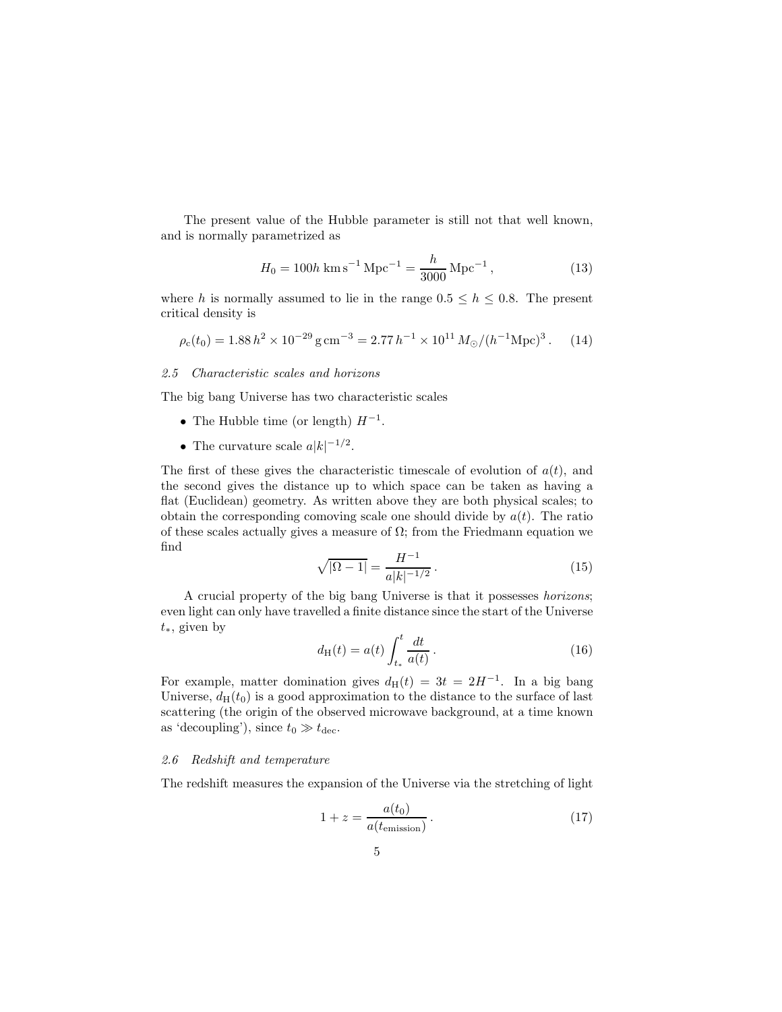The present value of the Hubble parameter is still not that well known, and is normally parametrized as

$$
H_0 = 100h \, \text{km s}^{-1} \, \text{Mpc}^{-1} = \frac{h}{3000} \, \text{Mpc}^{-1} \,, \tag{13}
$$

where h is normally assumed to lie in the range  $0.5 \le h \le 0.8$ . The present critical density is

$$
\rho_c(t_0) = 1.88 h^2 \times 10^{-29} \,\mathrm{g} \,\mathrm{cm}^{-3} = 2.77 \, h^{-1} \times 10^{11} \, M_\odot / (h^{-1} \mathrm{Mpc})^3 \,. \tag{14}
$$

#### *2.5 Characteristic scales and horizons*

The big bang Universe has two characteristic scales

- The Hubble time (or length)  $H^{-1}$ .
- The curvature scale  $a|k|^{-1/2}$ .

The first of these gives the characteristic timescale of evolution of  $a(t)$ , and the second gives the distance up to which space can be taken as having a flat (Euclidean) geometry. As written above they are both physical scales; to obtain the corresponding comoving scale one should divide by  $a(t)$ . The ratio of these scales actually gives a measure of  $\Omega$ ; from the Friedmann equation we find

$$
\sqrt{|\Omega - 1|} = \frac{H^{-1}}{a|k|^{-1/2}}.
$$
\n(15)

A crucial property of the big bang Universe is that it possesses *horizons*; even light can only have travelled a finite distance since the start of the Universe  $t_*,$  given by

$$
d_{\rm H}(t) = a(t) \int_{t_*}^{t} \frac{dt}{a(t)}.
$$
\n(16)

For example, matter domination gives  $d_H(t) = 3t = 2H^{-1}$ . In a big bang Universe,  $d_H(t_0)$  is a good approximation to the distance to the surface of last scattering (the origin of the observed microwave background, at a time known as 'decoupling'), since  $t_0 \gg t_{\text{dec}}$ .

# *2.6 Redshift and temperature*

The redshift measures the expansion of the Universe via the stretching of light

$$
1 + z = \frac{a(t_0)}{a(t_{\text{emission}})}.
$$
\n(17)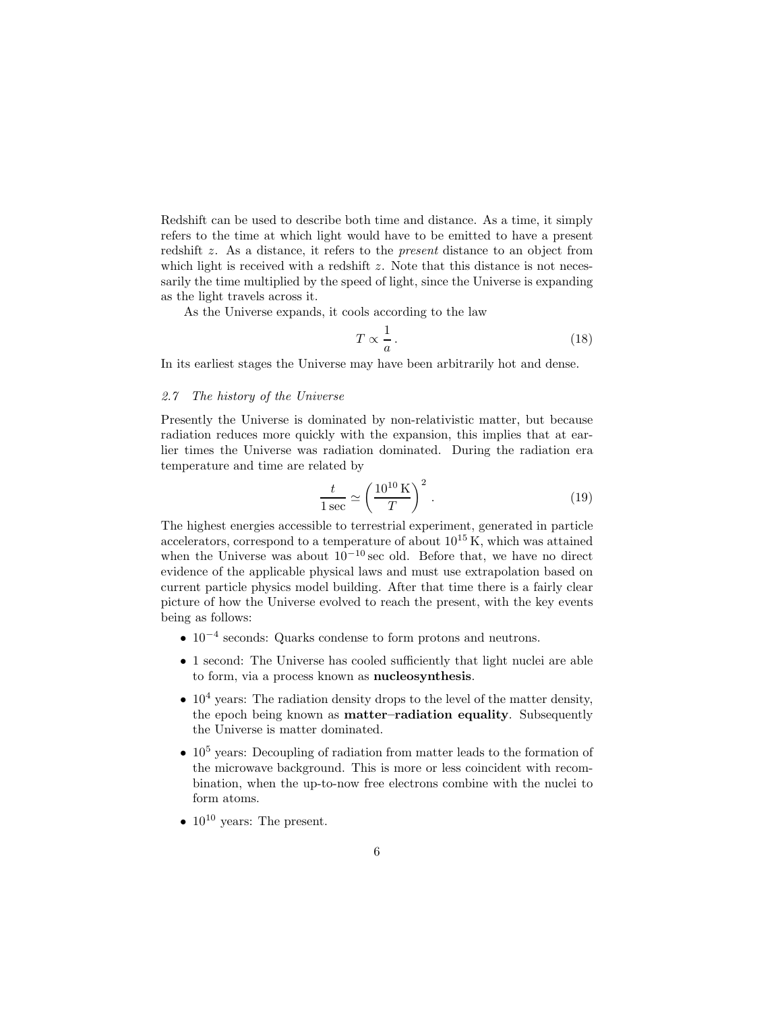Redshift can be used to describe both time and distance. As a time, it simply refers to the time at which light would have to be emitted to have a present redshift z. As a distance, it refers to the *present* distance to an object from which light is received with a redshift  $z$ . Note that this distance is not necessarily the time multiplied by the speed of light, since the Universe is expanding as the light travels across it.

As the Universe expands, it cools according to the law

$$
T \propto \frac{1}{a} \,. \tag{18}
$$

In its earliest stages the Universe may have been arbitrarily hot and dense.

# *2.7 The history of the Universe*

Presently the Universe is dominated by non-relativistic matter, but because radiation reduces more quickly with the expansion, this implies that at earlier times the Universe was radiation dominated. During the radiation era temperature and time are related by

$$
\frac{t}{1\,\text{sec}} \simeq \left(\frac{10^{10}\,\text{K}}{T}\right)^2. \tag{19}
$$

The highest energies accessible to terrestrial experiment, generated in particle accelerators, correspond to a temperature of about  $10^{15}$  K, which was attained when the Universe was about  $10^{-10}$  sec old. Before that, we have no direct evidence of the applicable physical laws and must use extrapolation based on current particle physics model building. After that time there is a fairly clear picture of how the Universe evolved to reach the present, with the key events being as follows:

- $\bullet$   $10^{-4}$  seconds: Quarks condense to form protons and neutrons.
- 1 second: The Universe has cooled sufficiently that light nuclei are able to form, via a process known as nucleosynthesis.
- $10<sup>4</sup>$  years: The radiation density drops to the level of the matter density, the epoch being known as matter–radiation equality. Subsequently the Universe is matter dominated.
- $\bullet$  10<sup>5</sup> years: Decoupling of radiation from matter leads to the formation of the microwave background. This is more or less coincident with recombination, when the up-to-now free electrons combine with the nuclei to form atoms.
- $10^{10}$  years: The present.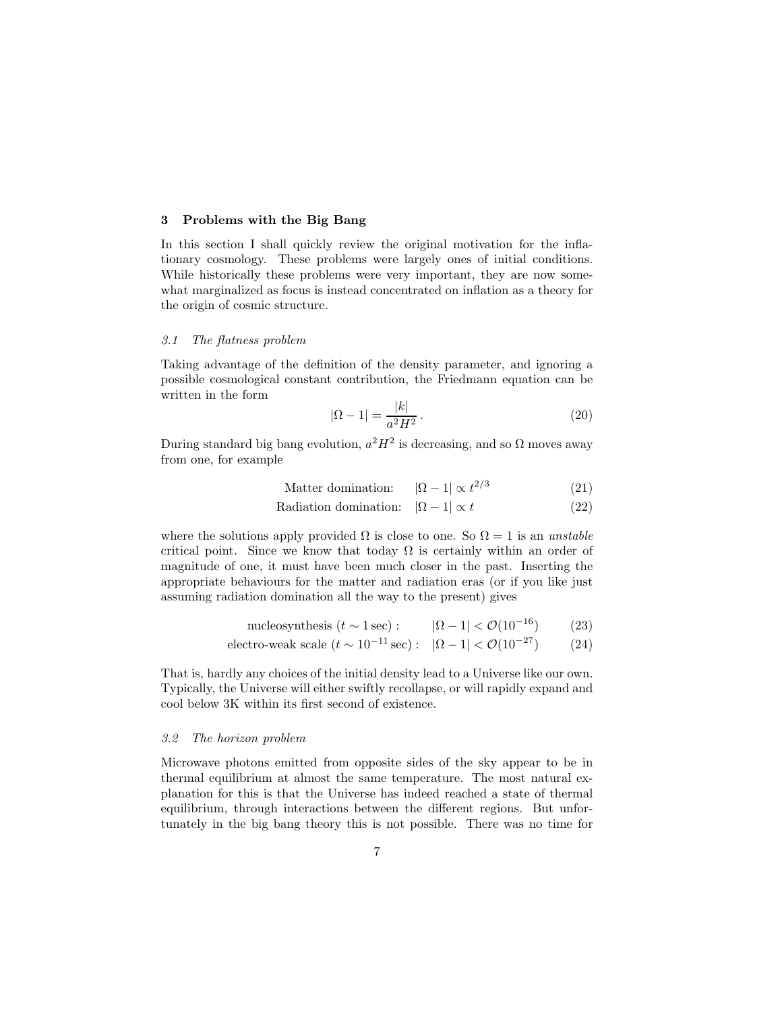## 3 Problems with the Big Bang

In this section I shall quickly review the original motivation for the inflationary cosmology. These problems were largely ones of initial conditions. While historically these problems were very important, they are now somewhat marginalized as focus is instead concentrated on inflation as a theory for the origin of cosmic structure.

#### *3.1 The flatness problem*

Taking advantage of the definition of the density parameter, and ignoring a possible cosmological constant contribution, the Friedmann equation can be written in the form

$$
|\Omega - 1| = \frac{|k|}{a^2 H^2}.
$$
\n(20)

During standard big bang evolution,  $a^2H^2$  is decreasing, and so  $\Omega$  moves away from one, for example

$$
Matter\,\, domination: \quad |\Omega - 1| \propto t^{2/3} \tag{21}
$$

$$
Radion\,\, domination: \,\, |\Omega - 1| \propto t \tag{22}
$$

where the solutions apply provided  $\Omega$  is close to one. So  $\Omega = 1$  is an *unstable* critical point. Since we know that today  $\Omega$  is certainly within an order of magnitude of one, it must have been much closer in the past. Inserting the appropriate behaviours for the matter and radiation eras (or if you like just assuming radiation domination all the way to the present) gives

nucleosynthesis 
$$
(t \sim 1 \text{ sec})
$$
:  $|\Omega - 1| < \mathcal{O}(10^{-16})$  (23)

electro-weak scale 
$$
(t \sim 10^{-11} \text{ sec})
$$
:  $|\Omega - 1| < \mathcal{O}(10^{-27})$  (24)

That is, hardly any choices of the initial density lead to a Universe like our own. Typically, the Universe will either swiftly recollapse, or will rapidly expand and cool below 3K within its first second of existence.

# *3.2 The horizon problem*

Microwave photons emitted from opposite sides of the sky appear to be in thermal equilibrium at almost the same temperature. The most natural explanation for this is that the Universe has indeed reached a state of thermal equilibrium, through interactions between the different regions. But unfortunately in the big bang theory this is not possible. There was no time for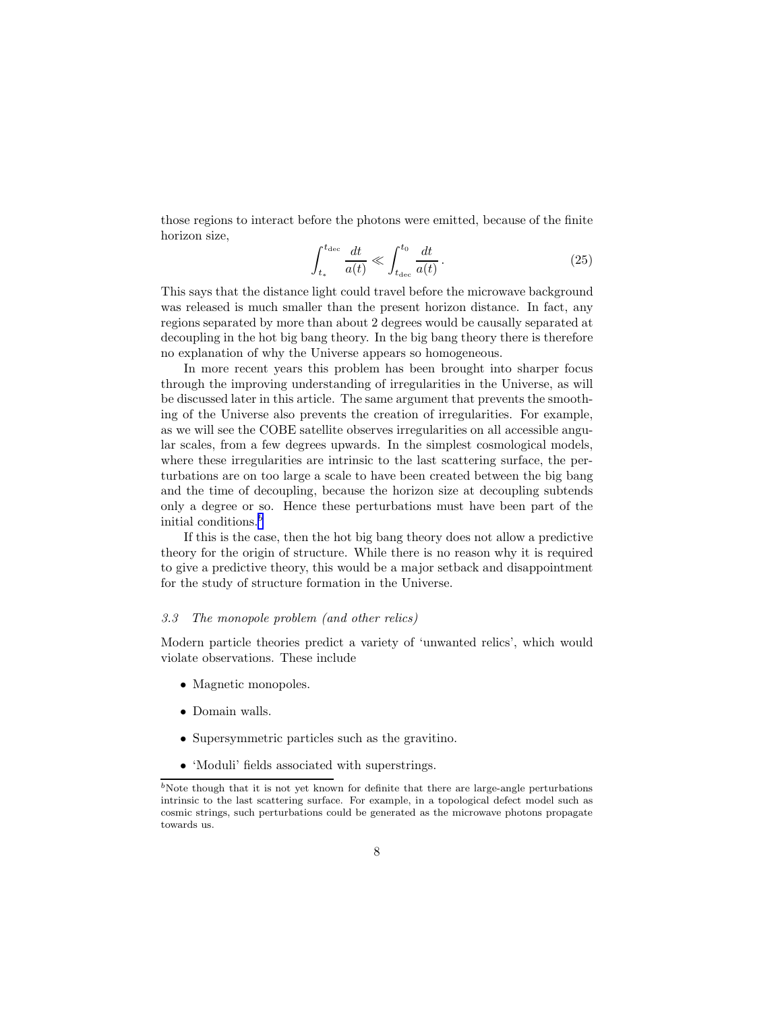those regions to interact before the photons were emitted, because of the finite horizon size,

$$
\int_{t_*}^{t_{\text{dec}}} \frac{dt}{a(t)} \ll \int_{t_{\text{dec}}}^{t_0} \frac{dt}{a(t)}.
$$
\n(25)

This says that the distance light could travel before the microwave background was released is much smaller than the present horizon distance. In fact, any regions separated by more than about 2 degrees would be causally separated at decoupling in the hot big bang theory. In the big bang theory there is therefore no explanation of why the Universe appears so homogeneous.

In more recent years this problem has been brought into sharper focus through the improving understanding of irregularities in the Universe, as will be discussed later in this article. The same argument that prevents the smoothing of the Universe also prevents the creation of irregularities. For example, as we will see the COBE satellite observes irregularities on all accessible angular scales, from a few degrees upwards. In the simplest cosmological models, where these irregularities are intrinsic to the last scattering surface, the perturbations are on too large a scale to have been created between the big bang and the time of decoupling, because the horizon size at decoupling subtends only a degree or so. Hence these perturbations must have been part of the initial conditions. $<sup>b</sup>$ </sup>

If this is the case, then the hot big bang theory does not allow a predictive theory for the origin of structure. While there is no reason why it is required to give a predictive theory, this would be a major setback and disappointment for the study of structure formation in the Universe.

# *3.3 The monopole problem (and other relics)*

Modern particle theories predict a variety of 'unwanted relics', which would violate observations. These include

- Magnetic monopoles.
- Domain walls.
- Supersymmetric particles such as the gravitino.
- 'Moduli' fields associated with superstrings.

 $\rm^b$  Note though that it is not yet known for definite that there are large-angle perturbations intrinsic to the last scattering surface. For example, in a topological defect model such as cosmic strings, such perturbations could be generated as the microwave photons propagate towards us.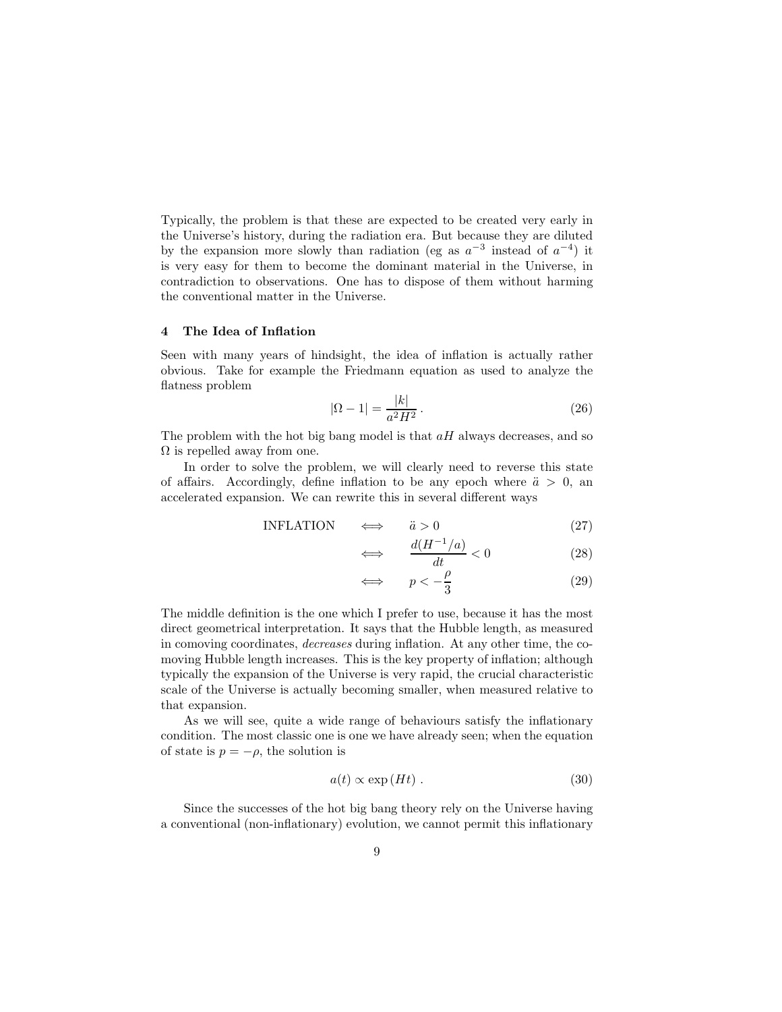Typically, the problem is that these are expected to be created very early in the Universe's history, during the radiation era. But because they are diluted by the expansion more slowly than radiation (eg as  $a^{-3}$  instead of  $a^{-4}$ ) it is very easy for them to become the dominant material in the Universe, in contradiction to observations. One has to dispose of them without harming the conventional matter in the Universe.

# 4 The Idea of Inflation

Seen with many years of hindsight, the idea of inflation is actually rather obvious. Take for example the Friedmann equation as used to analyze the flatness problem

$$
|\Omega - 1| = \frac{|k|}{a^2 H^2} \,. \tag{26}
$$

The problem with the hot big bang model is that  $aH$  always decreases, and so  $\Omega$  is repelled away from one.

In order to solve the problem, we will clearly need to reverse this state of affairs. Accordingly, define inflation to be any epoch where  $\ddot{a} > 0$ , an accelerated expansion. We can rewrite this in several different ways

$$
INFLATION \qquad \Longleftrightarrow \qquad \ddot{a} > 0 \tag{27}
$$

$$
\iff \frac{d(H^{-1}/a)}{dt} < 0 \tag{28}
$$

$$
\iff \qquad p < -\frac{\rho}{3} \tag{29}
$$

The middle definition is the one which I prefer to use, because it has the most direct geometrical interpretation. It says that the Hubble length, as measured in comoving coordinates, *decreases* during inflation. At any other time, the comoving Hubble length increases. This is the key property of inflation; although typically the expansion of the Universe is very rapid, the crucial characteristic scale of the Universe is actually becoming smaller, when measured relative to that expansion.

As we will see, quite a wide range of behaviours satisfy the inflationary condition. The most classic one is one we have already seen; when the equation of state is  $p = -\rho$ , the solution is

$$
a(t) \propto \exp\left(Ht\right). \tag{30}
$$

Since the successes of the hot big bang theory rely on the Universe having a conventional (non-inflationary) evolution, we cannot permit this inflationary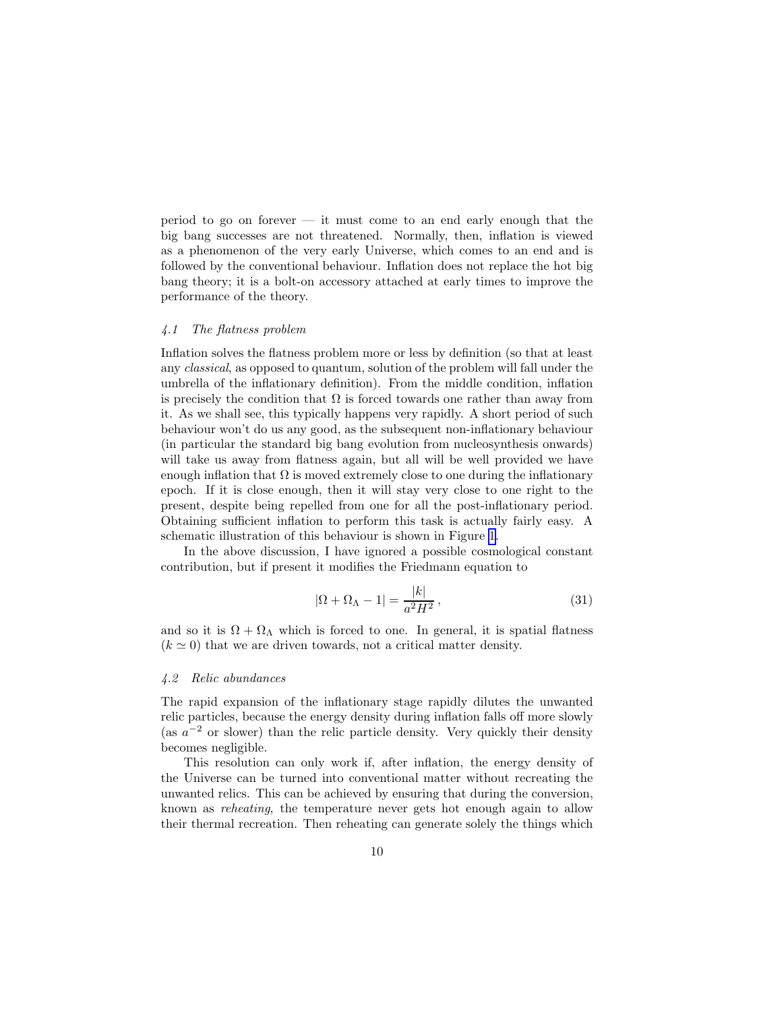period to go on forever — it must come to an end early enough that the big bang successes are not threatened. Normally, then, inflation is viewed as a phenomenon of the very early Universe, which comes to an end and is followed by the conventional behaviour. Inflation does not replace the hot big bang theory; it is a bolt-on accessory attached at early times to improve the performance of the theory.

# *4.1 The flatness problem*

Inflation solves the flatness problem more or less by definition (so that at least any *classical*, as opposed to quantum, solution of the problem will fall under the umbrella of the inflationary definition). From the middle condition, inflation is precisely the condition that  $\Omega$  is forced towards one rather than away from it. As we shall see, this typically happens very rapidly. A short period of such behaviour won't do us any good, as the subsequent non-inflationary behaviour (in particular the standard big bang evolution from nucleosynthesis onwards) will take us away from flatness again, but all will be well provided we have enough inflation that  $\Omega$  is moved extremely close to one during the inflationary epoch. If it is close enough, then it will stay very close to one right to the present, despite being repelled from one for all the post-inflationary period. Obtaining sufficient inflation to perform this task is actually fairly easy. A schematic illustration of this behaviour is shown in Figure [1](#page-10-0).

In the above discussion, I have ignored a possible cosmological constant contribution, but if present it modifies the Friedmann equation to

$$
|\Omega + \Omega_{\Lambda} - 1| = \frac{|k|}{a^2 H^2},\tag{31}
$$

and so it is  $\Omega + \Omega_{\Lambda}$  which is forced to one. In general, it is spatial flatness  $(k \approx 0)$  that we are driven towards, not a critical matter density.

#### *4.2 Relic abundances*

The rapid expansion of the inflationary stage rapidly dilutes the unwanted relic particles, because the energy density during inflation falls off more slowly (as  $a^{-2}$  or slower) than the relic particle density. Very quickly their density becomes negligible.

This resolution can only work if, after inflation, the energy density of the Universe can be turned into conventional matter without recreating the unwanted relics. This can be achieved by ensuring that during the conversion, known as *reheating*, the temperature never gets hot enough again to allow their thermal recreation. Then reheating can generate solely the things which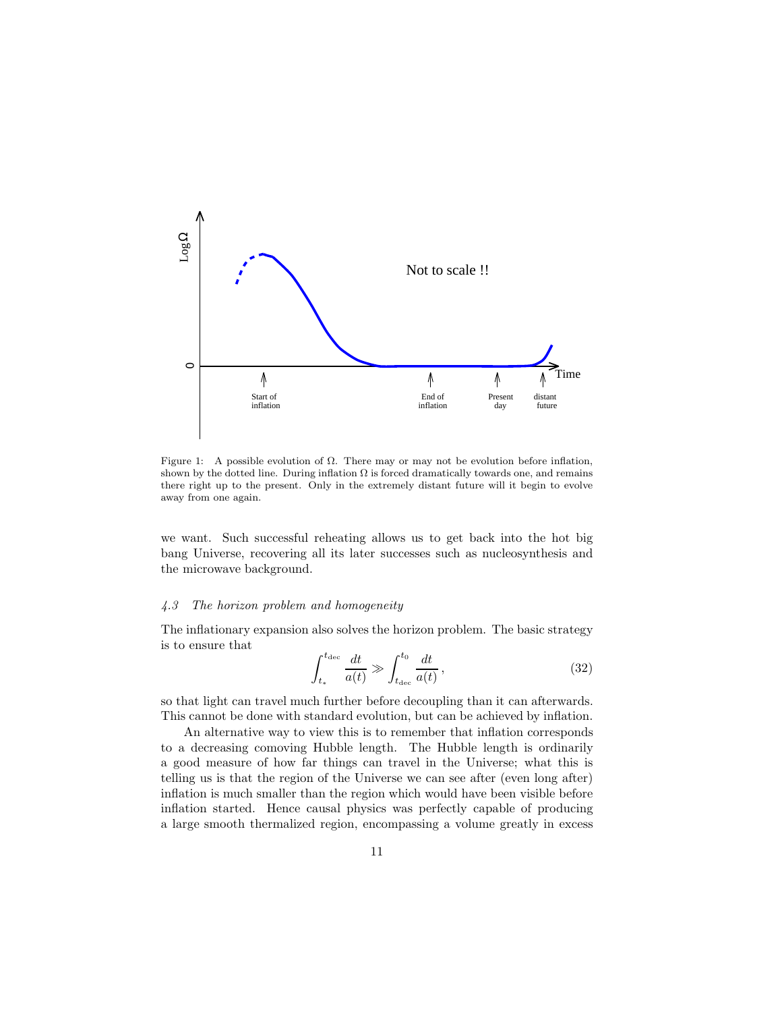<span id="page-10-0"></span>

Figure 1: A possible evolution of  $\Omega$ . There may or may not be evolution before inflation, shown by the dotted line. During inflation  $\Omega$  is forced dramatically towards one, and remains there right up to the present. Only in the extremely distant future will it begin to evolve away from one again.

we want. Such successful reheating allows us to get back into the hot big bang Universe, recovering all its later successes such as nucleosynthesis and the microwave background.

# *4.3 The horizon problem and homogeneity*

The inflationary expansion also solves the horizon problem. The basic strategy is to ensure that

$$
\int_{t_*}^{t_{\text{dec}}} \frac{dt}{a(t)} \gg \int_{t_{\text{dec}}}^{t_0} \frac{dt}{a(t)},\tag{32}
$$

so that light can travel much further before decoupling than it can afterwards. This cannot be done with standard evolution, but can be achieved by inflation.

An alternative way to view this is to remember that inflation corresponds to a decreasing comoving Hubble length. The Hubble length is ordinarily a good measure of how far things can travel in the Universe; what this is telling us is that the region of the Universe we can see after (even long after) inflation is much smaller than the region which would have been visible before inflation started. Hence causal physics was perfectly capable of producing a large smooth thermalized region, encompassing a volume greatly in excess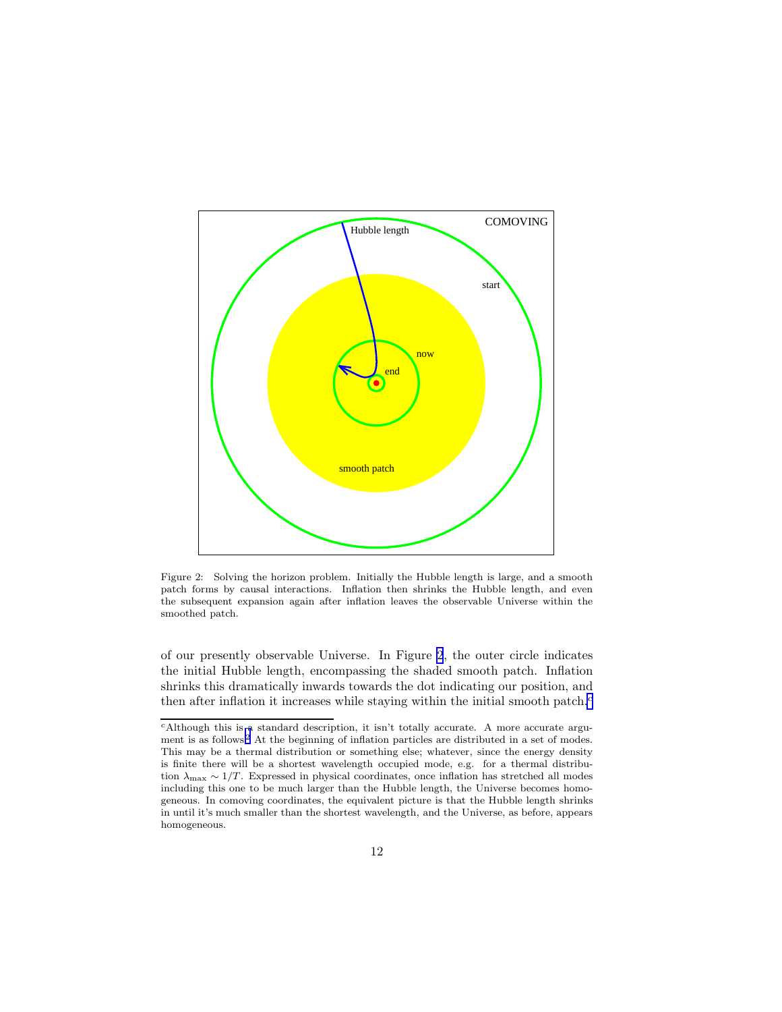

Figure 2: Solving the horizon problem. Initially the Hubble length is large, and a smooth patch forms by causal interactions. Inflation then shrinks the Hubble length, and even the subsequent expansion again after inflation leaves the observable Universe within the smoothed patch.

of our presently observable Universe. In Figure 2, the outer circle indicates the initial Hubble length, encompassing the shaded smooth patch. Inflation shrinks this dramatically inwards towards the dot indicating our position, and then after inflation it increases while staying within the initial smooth patch. $c$ 

<sup>c</sup>Although this is a standard description, it isn't totally accurate. A more accurate argument is as follows.[2](#page-33-0) At the beginning of inflation particles are distributed in a set of modes. This may be a thermal distribution or something else; whatever, since the energy density is finite there will be a shortest wavelength occupied mode, e.g. for a thermal distribution  $\lambda_{\text{max}} \sim 1/T$ . Expressed in physical coordinates, once inflation has stretched all modes including this one to be much larger than the Hubble length, the Universe becomes homogeneous. In comoving coordinates, the equivalent picture is that the Hubble length shrinks in until it's much smaller than the shortest wavelength, and the Universe, as before, appears homogeneous.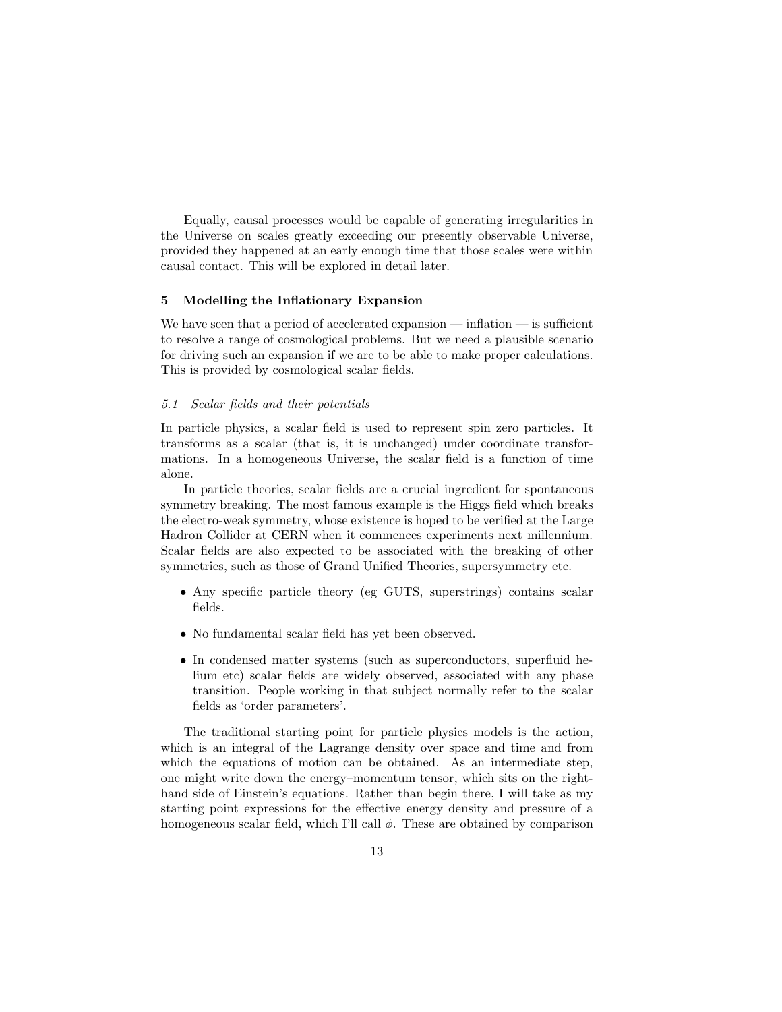Equally, causal processes would be capable of generating irregularities in the Universe on scales greatly exceeding our presently observable Universe, provided they happened at an early enough time that those scales were within causal contact. This will be explored in detail later.

# 5 Modelling the Inflationary Expansion

We have seen that a period of accelerated expansion — inflation — is sufficient to resolve a range of cosmological problems. But we need a plausible scenario for driving such an expansion if we are to be able to make proper calculations. This is provided by cosmological scalar fields.

#### *5.1 Scalar fields and their potentials*

In particle physics, a scalar field is used to represent spin zero particles. It transforms as a scalar (that is, it is unchanged) under coordinate transformations. In a homogeneous Universe, the scalar field is a function of time alone.

In particle theories, scalar fields are a crucial ingredient for spontaneous symmetry breaking. The most famous example is the Higgs field which breaks the electro-weak symmetry, whose existence is hoped to be verified at the Large Hadron Collider at CERN when it commences experiments next millennium. Scalar fields are also expected to be associated with the breaking of other symmetries, such as those of Grand Unified Theories, supersymmetry etc.

- Any specific particle theory (eg GUTS, superstrings) contains scalar fields.
- No fundamental scalar field has yet been observed.
- In condensed matter systems (such as superconductors, superfluid helium etc) scalar fields are widely observed, associated with any phase transition. People working in that subject normally refer to the scalar fields as 'order parameters'.

The traditional starting point for particle physics models is the action, which is an integral of the Lagrange density over space and time and from which the equations of motion can be obtained. As an intermediate step, one might write down the energy–momentum tensor, which sits on the righthand side of Einstein's equations. Rather than begin there, I will take as my starting point expressions for the effective energy density and pressure of a homogeneous scalar field, which I'll call  $\phi$ . These are obtained by comparison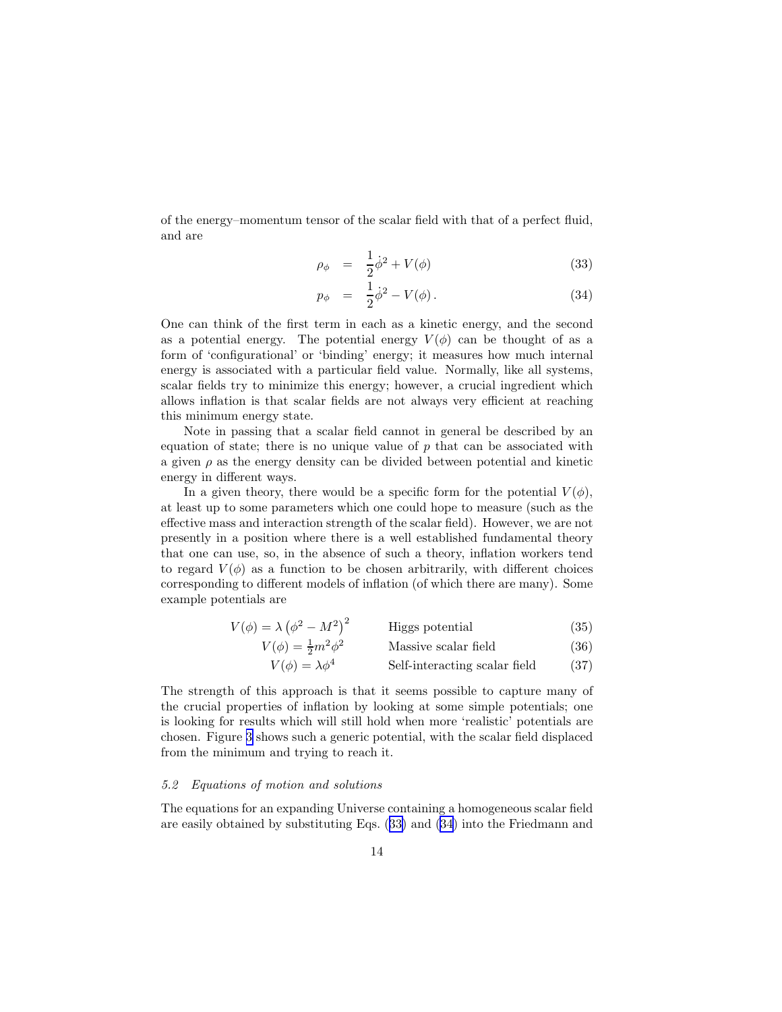of the energy–momentum tensor of the scalar field with that of a perfect fluid, and are

$$
\rho_{\phi} = \frac{1}{2}\dot{\phi}^2 + V(\phi) \tag{33}
$$

$$
p_{\phi} = \frac{1}{2}\dot{\phi}^2 - V(\phi). \tag{34}
$$

One can think of the first term in each as a kinetic energy, and the second as a potential energy. The potential energy  $V(\phi)$  can be thought of as a form of 'configurational' or 'binding' energy; it measures how much internal energy is associated with a particular field value. Normally, like all systems, scalar fields try to minimize this energy; however, a crucial ingredient which allows inflation is that scalar fields are not always very efficient at reaching this minimum energy state.

Note in passing that a scalar field cannot in general be described by an equation of state; there is no unique value of  $p$  that can be associated with a given  $\rho$  as the energy density can be divided between potential and kinetic energy in different ways.

In a given theory, there would be a specific form for the potential  $V(\phi)$ , at least up to some parameters which one could hope to measure (such as the effective mass and interaction strength of the scalar field). However, we are not presently in a position where there is a well established fundamental theory that one can use, so, in the absence of such a theory, inflation workers tend to regard  $V(\phi)$  as a function to be chosen arbitrarily, with different choices corresponding to different models of inflation (of which there are many). Some example potentials are

$$
V(\phi) = \lambda (\phi^2 - M^2)^2
$$
 Higgs potential (35)

$$
V(\phi) = \frac{1}{2}m^2\phi^2
$$
 Massive scalar field (36)

$$
V(\phi) = \lambda \phi^4
$$
 Self-interacting scalar field (37)

The strength of this approach is that it seems possible to capture many of the crucial properties of inflation by looking at some simple potentials; one is looking for results which will still hold when more 'realistic' potentials are chosen. Figure [3](#page-14-0) shows such a generic potential, with the scalar field displaced from the minimum and trying to reach it.

# *5.2 Equations of motion and solutions*

The equations for an expanding Universe containing a homogeneous scalar field are easily obtained by substituting Eqs. (33) and (34) into the Friedmann and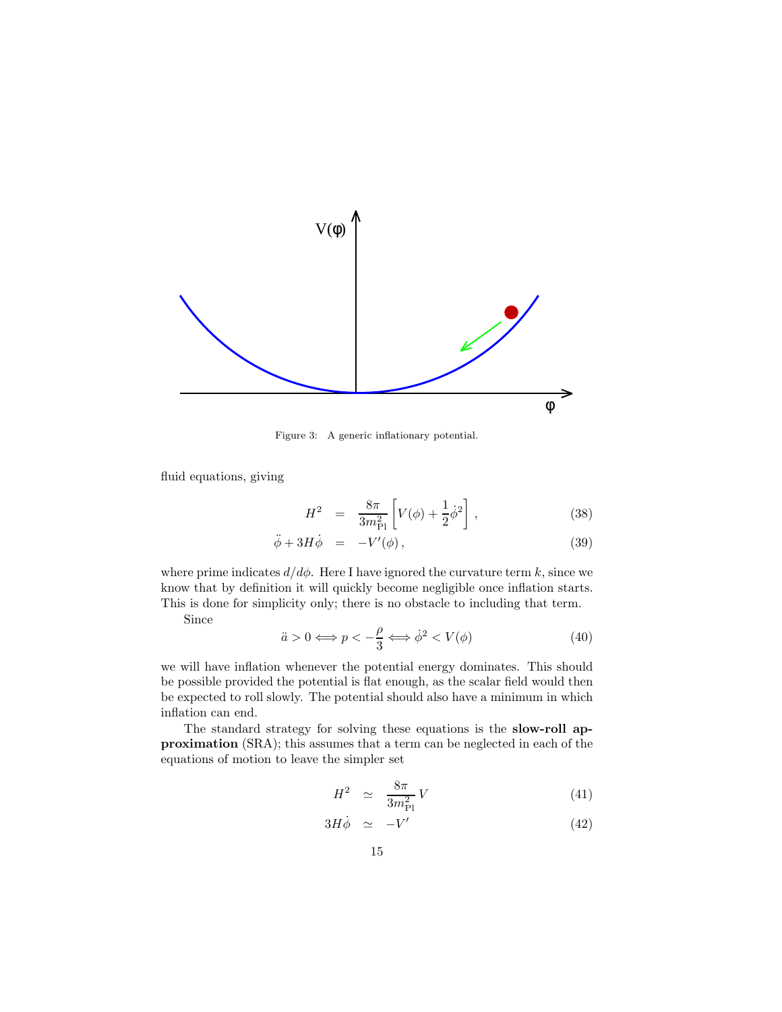<span id="page-14-0"></span>

Figure 3: A generic inflationary potential.

fluid equations, giving

$$
H^2 = \frac{8\pi}{3m_{\rm Pl}^2} \left[ V(\phi) + \frac{1}{2} \dot{\phi}^2 \right],
$$
 (38)

$$
\ddot{\phi} + 3H\dot{\phi} = -V'(\phi), \qquad (39)
$$

where prime indicates  $d/d\phi$ . Here I have ignored the curvature term k, since we know that by definition it will quickly become negligible once inflation starts. This is done for simplicity only; there is no obstacle to including that term.

Since

$$
\ddot{a} > 0 \Longleftrightarrow p < -\frac{\rho}{3} \Longleftrightarrow \dot{\phi}^2 < V(\phi) \tag{40}
$$

we will have inflation whenever the potential energy dominates. This should be possible provided the potential is flat enough, as the scalar field would then be expected to roll slowly. The potential should also have a minimum in which inflation can end.

The standard strategy for solving these equations is the slow-roll approximation (SRA); this assumes that a term can be neglected in each of the equations of motion to leave the simpler set

$$
H^2 \simeq \frac{8\pi}{3m_{\rm Pl}^2}V\tag{41}
$$

$$
3H\dot{\phi} \simeq -V' \tag{42}
$$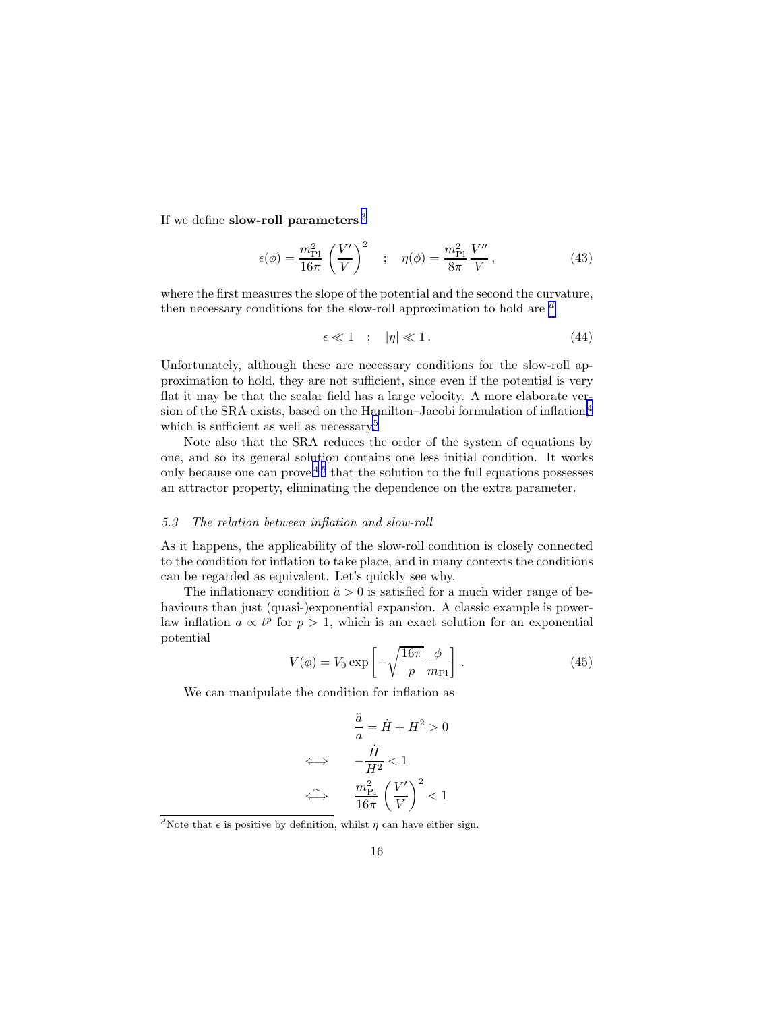<span id="page-15-0"></span>If we define slow-roll parameters [3](#page-33-0)

$$
\epsilon(\phi) = \frac{m_{\rm Pl}^2}{16\pi} \left(\frac{V'}{V}\right)^2 \quad ; \quad \eta(\phi) = \frac{m_{\rm Pl}^2}{8\pi} \frac{V''}{V} \,, \tag{43}
$$

where the first measures the slope of the potential and the second the curvature, then necessary conditions for the slow-roll approximation to hold are  $d$ 

$$
\epsilon \ll 1 \quad ; \quad |\eta| \ll 1 \,. \tag{44}
$$

Unfortunately, although these are necessary conditions for the slow-roll approximation to hold, they are not sufficient, since even if the potential is very flat it may be that the scalar field has a large velocity. A more elaborate version of the SRA exists, based on the Hamilton–Jacobi formulation of inflation,[4](#page-33-0) which is sufficient as well as necessary.<sup>[5](#page-33-0)</sup>

Note also that the SRA reduces the order of the system of equations by one, and so its general solution contains one less initial condition. It works only because one can prove <sup>[4](#page-33-0),[5](#page-33-0)</sup> that the solution to the full equations possesses an attractor property, eliminating the dependence on the extra parameter.

#### *5.3 The relation between inflation and slow-roll*

As it happens, the applicability of the slow-roll condition is closely connected to the condition for inflation to take place, and in many contexts the conditions can be regarded as equivalent. Let's quickly see why.

The inflationary condition  $\ddot{a} > 0$  is satisfied for a much wider range of behaviours than just (quasi-)exponential expansion. A classic example is powerlaw inflation  $a \propto t^p$  for  $p > 1$ , which is an exact solution for an exponential potential

$$
V(\phi) = V_0 \exp\left[-\sqrt{\frac{16\pi}{p}} \frac{\phi}{m_{\rm Pl}}\right].
$$
 (45)

We can manipulate the condition for inflation as

$$
\frac{\ddot{a}}{a} = \dot{H} + H^2 > 0
$$
\n
$$
\iff \quad -\frac{\dot{H}}{H^2} < 1
$$
\n
$$
\iff \quad \frac{m_{\rm Pl}^2}{16\pi} \left(\frac{V'}{V}\right)^2 < 1
$$

<sup>d</sup>Note that  $\epsilon$  is positive by definition, whilst  $\eta$  can have either sign.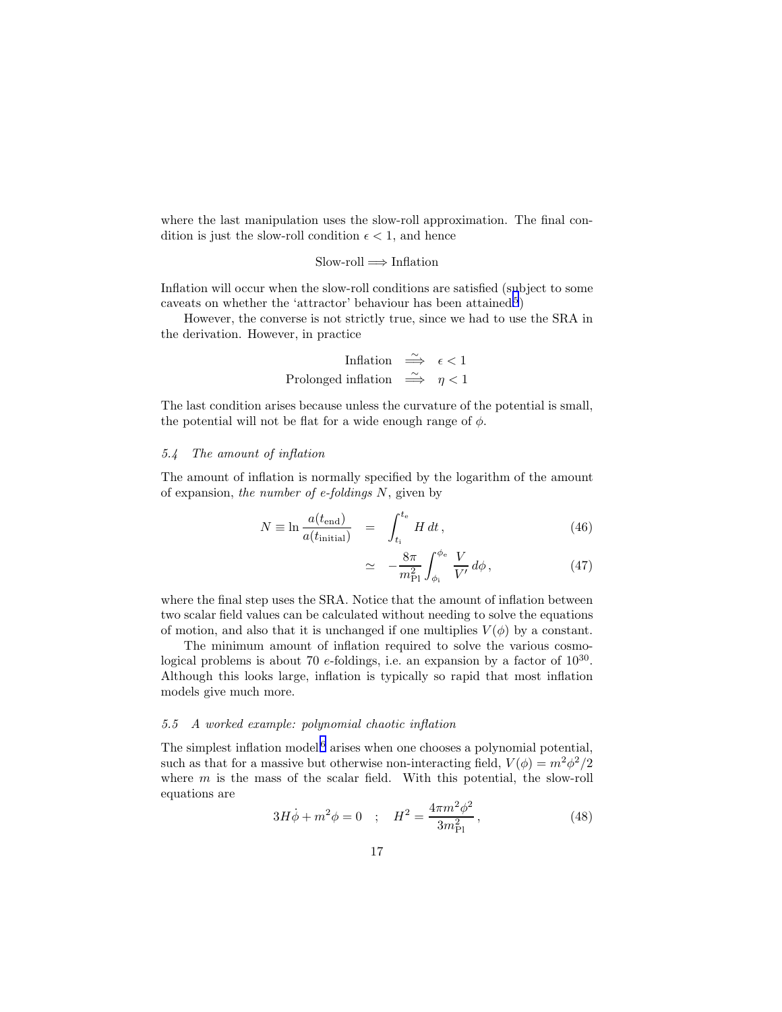<span id="page-16-0"></span>where the last manipulation uses the slow-roll approximation. The final condition is just the slow-roll condition  $\epsilon < 1$ , and hence

$$
Slow-roll \Longrightarrow Inflation
$$

Inflation will occur when the slow-roll conditions are satisfied (subject to some caveats on whether the 'attractor' behaviour has been attained.<sup>[5](#page-33-0)</sup>)

However, the converse is not strictly true, since we had to use the SRA in the derivation. However, in practice

| Inflation           | $\xrightarrow{\sim}$ | $\epsilon$ < 1 |
|---------------------|----------------------|----------------|
| Prolonged inflation | $\xrightarrow{\sim}$ | $\eta$ < 1     |

The last condition arises because unless the curvature of the potential is small, the potential will not be flat for a wide enough range of  $\phi$ .

#### *5.4 The amount of inflation*

The amount of inflation is normally specified by the logarithm of the amount of expansion, *the number of e-foldings* N, given by

$$
N \equiv \ln \frac{a(t_{\text{end}})}{a(t_{\text{initial}})} = \int_{t_i}^{t_e} H dt, \qquad (46)
$$

$$
\simeq -\frac{8\pi}{m_{\rm Pl}^2} \int_{\phi_{\rm i}}^{\phi_{\rm e}} \frac{V}{V'} d\phi \,, \tag{47}
$$

where the final step uses the SRA. Notice that the amount of inflation between two scalar field values can be calculated without needing to solve the equations of motion, and also that it is unchanged if one multiplies  $V(\phi)$  by a constant.

The minimum amount of inflation required to solve the various cosmological problems is about 70  $e$ -foldings, i.e. an expansion by a factor of  $10^{30}$ . Although this looks large, inflation is typically so rapid that most inflation models give much more.

# *5.5 A worked example: polynomial chaotic inflation*

The simplest inflation model<sup> $6$ </sup> arises when one chooses a polynomial potential, such as that for a massive but otherwise non-interacting field,  $V(\phi) = m^2 \phi^2/2$ where  $m$  is the mass of the scalar field. With this potential, the slow-roll equations are

$$
3H\dot{\phi} + m^2\phi = 0 \quad ; \quad H^2 = \frac{4\pi m^2 \phi^2}{3m_{\rm Pl}^2} \,, \tag{48}
$$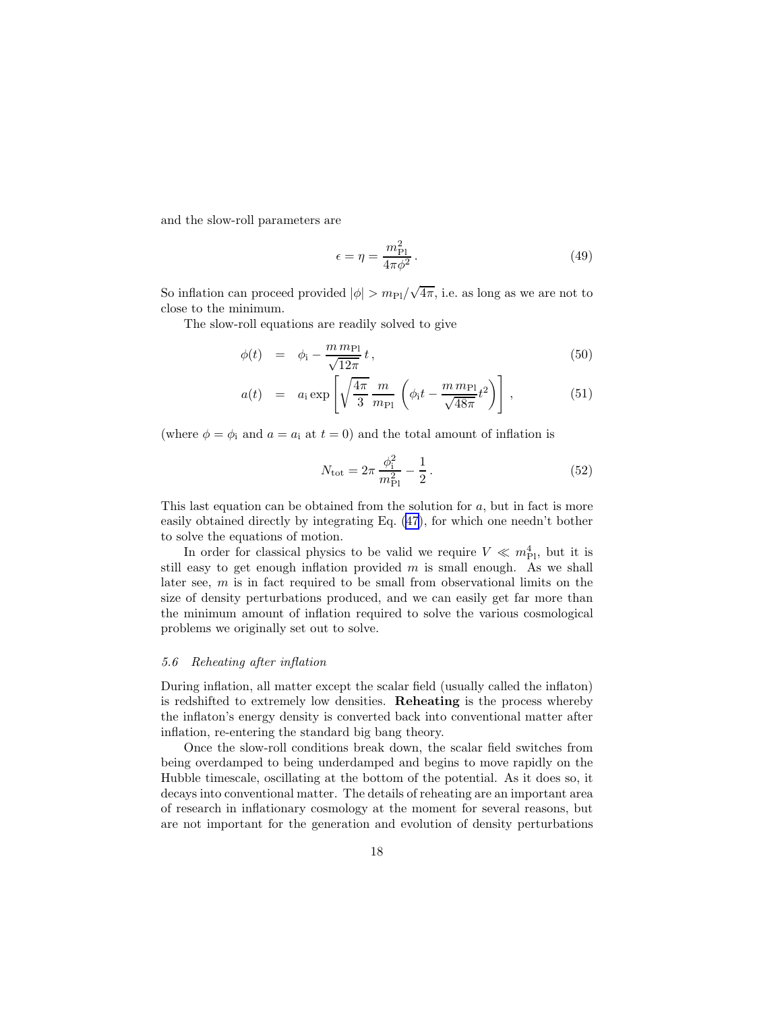<span id="page-17-0"></span>and the slow-roll parameters are

$$
\epsilon = \eta = \frac{m_{\rm Pl}^2}{4\pi\phi^2} \,. \tag{49}
$$

So inflation can proceed provided  $|\phi| > m_{\text{Pl}}/\sqrt{4\pi}$ , i.e. as long as we are not to close to the minimum.

The slow-roll equations are readily solved to give

$$
\phi(t) = \phi_{\rm i} - \frac{m m_{\rm Pl}}{\sqrt{12\pi}} t, \qquad (50)
$$

$$
a(t) = a_i \exp\left[\sqrt{\frac{4\pi}{3}} \frac{m}{m_{\rm Pl}} \left(\phi_i t - \frac{m m_{\rm Pl}}{\sqrt{48\pi}} t^2\right)\right],\tag{51}
$$

(where  $\phi = \phi_i$  and  $a = a_i$  at  $t = 0$ ) and the total amount of inflation is

$$
N_{\text{tot}} = 2\pi \frac{\phi_{\text{i}}^2}{m_{\text{Pl}}^2} - \frac{1}{2} \,. \tag{52}
$$

This last equation can be obtained from the solution for  $a$ , but in fact is more easily obtained directly by integrating Eq. ([47](#page-15-0)), for which one needn't bother to solve the equations of motion.

In order for classical physics to be valid we require  $V \ll m_{\text{Pl}}^4$ , but it is still easy to get enough inflation provided  $m$  is small enough. As we shall later see, m is in fact required to be small from observational limits on the size of density perturbations produced, and we can easily get far more than the minimum amount of inflation required to solve the various cosmological problems we originally set out to solve.

# *5.6 Reheating after inflation*

During inflation, all matter except the scalar field (usually called the inflaton) is redshifted to extremely low densities. Reheating is the process whereby the inflaton's energy density is converted back into conventional matter after inflation, re-entering the standard big bang theory.

Once the slow-roll conditions break down, the scalar field switches from being overdamped to being underdamped and begins to move rapidly on the Hubble timescale, oscillating at the bottom of the potential. As it does so, it decays into conventional matter. The details of reheating are an important area of research in inflationary cosmology at the moment for several reasons, but are not important for the generation and evolution of density perturbations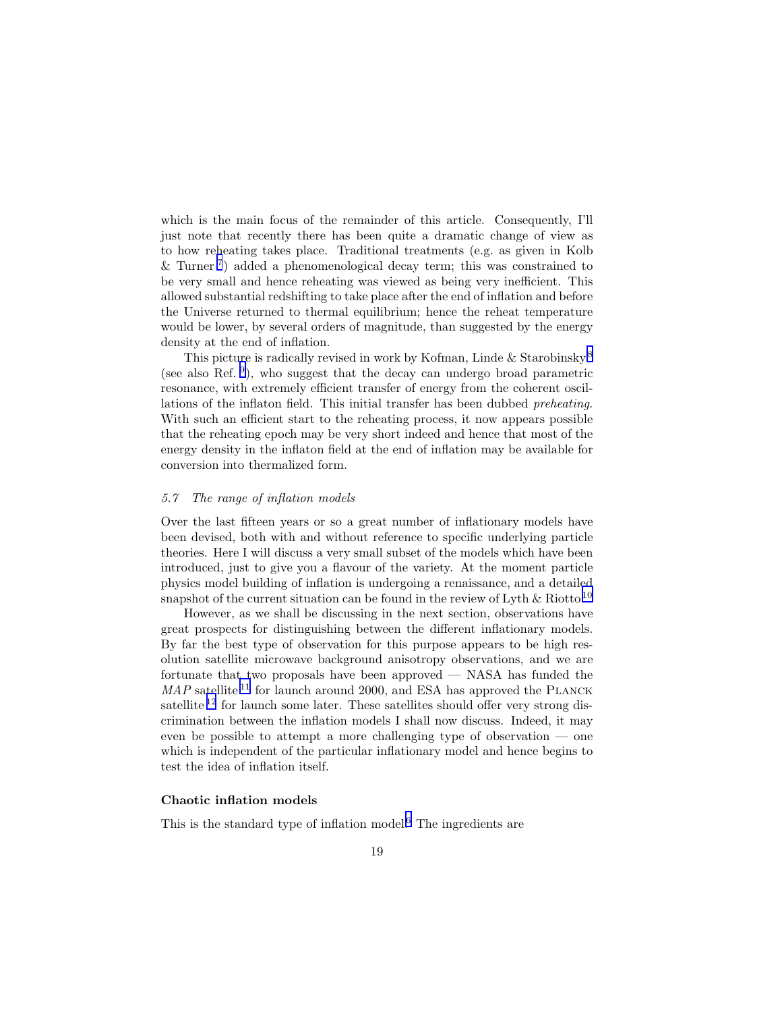which is the main focus of the remainder of this article. Consequently, I'll just note that recently there has been quite a dramatic change of view as to how reheating takes place. Traditional treatments (e.g. as given in Kolb & Turner [7](#page-34-0) ) added a phenomenological decay term; this was constrained to be very small and hence reheating was viewed as being very inefficient. This allowed substantial redshifting to take place after the end of inflation and before the Universe returned to thermal equilibrium; hence the reheat temperature would be lower, by several orders of magnitude, than suggested by the energy density at the end of inflation.

This picture is radically revised in work by Kofman, Linde & Starobinsky [8](#page-34-0) (see also Ref. [9](#page-34-0) ), who suggest that the decay can undergo broad parametric resonance, with extremely efficient transfer of energy from the coherent oscillations of the inflaton field. This initial transfer has been dubbed *preheating*. With such an efficient start to the reheating process, it now appears possible that the reheating epoch may be very short indeed and hence that most of the energy density in the inflaton field at the end of inflation may be available for conversion into thermalized form.

#### *5.7 The range of inflation models*

Over the last fifteen years or so a great number of inflationary models have been devised, both with and without reference to specific underlying particle theories. Here I will discuss a very small subset of the models which have been introduced, just to give you a flavour of the variety. At the moment particle physics model building of inflation is undergoing a renaissance, and a detailed snapshot of the current situation can be found in the review of Lyth  $\&$  Riotto.<sup>[10](#page-34-0)</sup>

However, as we shall be discussing in the next section, observations have great prospects for distinguishing between the different inflationary models. By far the best type of observation for this purpose appears to be high resolution satellite microwave background anisotropy observations, and we are fortunate that two proposals have been approved — NASA has funded the  $MAP$  satellite<sup>[11](#page-34-0)</sup> for launch around 2000, and ESA has approved the PLANCK satellite<sup>[12](#page-34-0)</sup> for launch some later. These satellites should offer very strong discrimination between the inflation models I shall now discuss. Indeed, it may even be possible to attempt a more challenging type of observation — one which is independent of the particular inflationary model and hence begins to test the idea of inflation itself.

# Chaotic inflation models

This is the standard type of inflation model.<sup>[6](#page-34-0)</sup> The ingredients are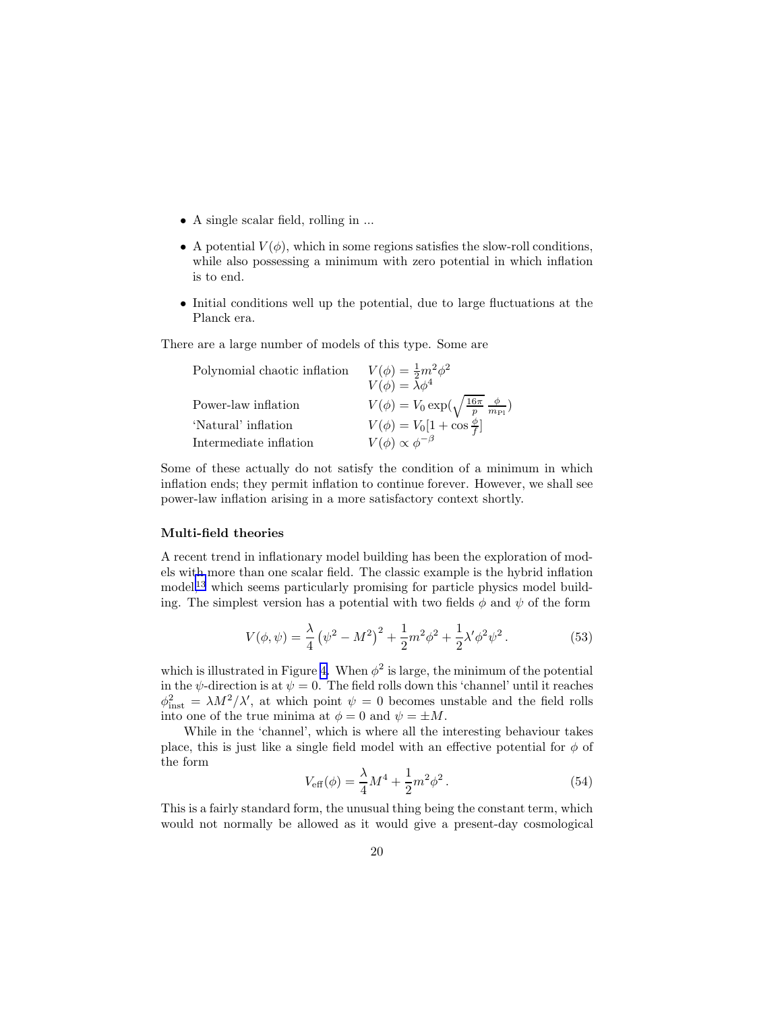- A single scalar field, rolling in ...
- A potential  $V(\phi)$ , which in some regions satisfies the slow-roll conditions, while also possessing a minimum with zero potential in which inflation is to end.
- Initial conditions well up the potential, due to large fluctuations at the Planck era.

There are a large number of models of this type. Some are

| Polynomial chaotic inflation | $V(\phi) = \frac{1}{2}m^2\phi^2$<br>$V(\phi) = \lambda \phi^4$       |
|------------------------------|----------------------------------------------------------------------|
| Power-law inflation          | $V(\phi) = V_0 \exp(\sqrt{\frac{16\pi}{p}} \frac{\phi}{m_{\rm Pl}})$ |
| 'Natural' inflation          | $V(\phi) = V_0[1 + \cos \frac{\phi}{f}]$                             |
| Intermediate inflation       | $V(\phi) \propto \phi^{-\beta}$                                      |

Some of these actually do not satisfy the condition of a minimum in which inflation ends; they permit inflation to continue forever. However, we shall see power-law inflation arising in a more satisfactory context shortly.

# Multi-field theories

A recent trend in inflationary model building has been the exploration of models with more than one scalar field. The classic example is the hybrid inflation  $\text{model}^{13}$  $\text{model}^{13}$  $\text{model}^{13}$  which seems particularly promising for particle physics model building. The simplest version has a potential with two fields  $\phi$  and  $\psi$  of the form

$$
V(\phi, \psi) = \frac{\lambda}{4} \left(\psi^2 - M^2\right)^2 + \frac{1}{2} m^2 \phi^2 + \frac{1}{2} \lambda' \phi^2 \psi^2.
$$
 (53)

which is illustrated in Figure [4.](#page-20-0) When  $\phi^2$  is large, the minimum of the potential in the  $\psi$ -direction is at  $\psi = 0$ . The field rolls down this 'channel' until it reaches  $\phi_{\text{inst}}^2 = \lambda M^2/\lambda'$ , at which point  $\psi = 0$  becomes unstable and the field rolls into one of the true minima at  $\phi = 0$  and  $\psi = \pm M$ .

While in the 'channel', which is where all the interesting behaviour takes place, this is just like a single field model with an effective potential for  $\phi$  of the form

$$
V_{\text{eff}}(\phi) = \frac{\lambda}{4}M^4 + \frac{1}{2}m^2\phi^2.
$$
 (54)

This is a fairly standard form, the unusual thing being the constant term, which would not normally be allowed as it would give a present-day cosmological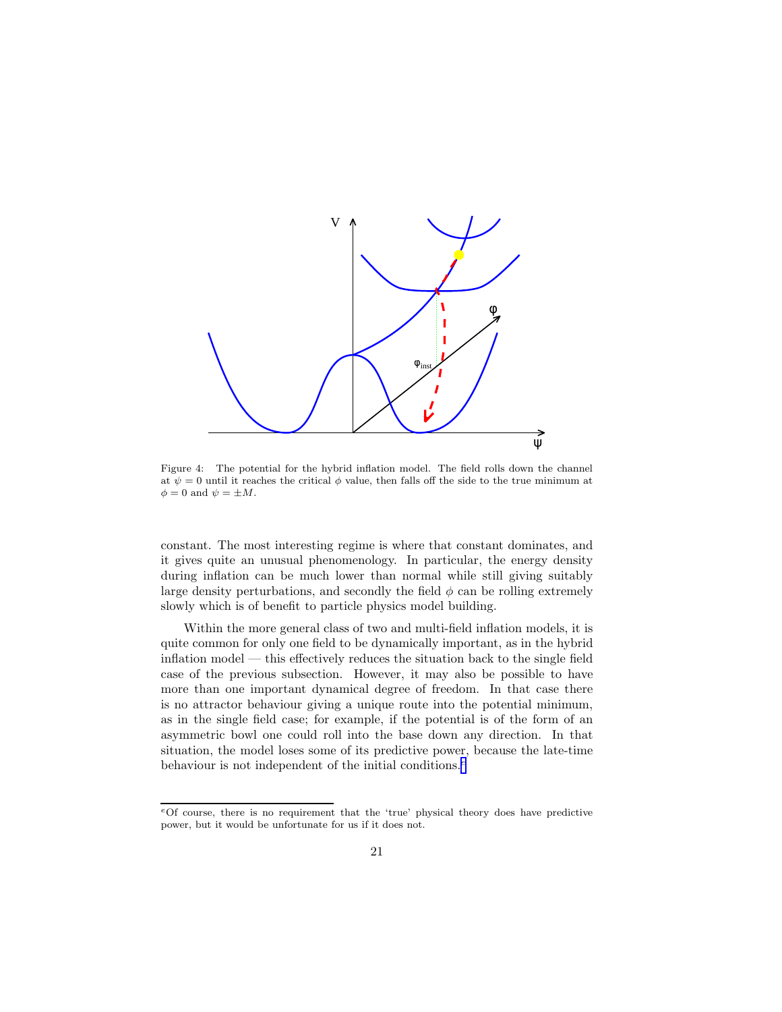<span id="page-20-0"></span>

Figure 4: The potential for the hybrid inflation model. The field rolls down the channel at  $\psi = 0$  until it reaches the critical  $\phi$  value, then falls off the side to the true minimum at  $\phi = 0$  and  $\psi = \pm M$ .

constant. The most interesting regime is where that constant dominates, and it gives quite an unusual phenomenology. In particular, the energy density during inflation can be much lower than normal while still giving suitably large density perturbations, and secondly the field  $\phi$  can be rolling extremely slowly which is of benefit to particle physics model building.

Within the more general class of two and multi-field inflation models, it is quite common for only one field to be dynamically important, as in the hybrid inflation model — this effectively reduces the situation back to the single field case of the previous subsection. However, it may also be possible to have more than one important dynamical degree of freedom. In that case there is no attractor behaviour giving a unique route into the potential minimum, as in the single field case; for example, if the potential is of the form of an asymmetric bowl one could roll into the base down any direction. In that situation, the model loses some of its predictive power, because the late-time behaviour is not independent of the initial conditions.<sup> $e$ </sup>

 ${}^e$ Of course, there is no requirement that the 'true' physical theory does have predictive power, but it would be unfortunate for us if it does not.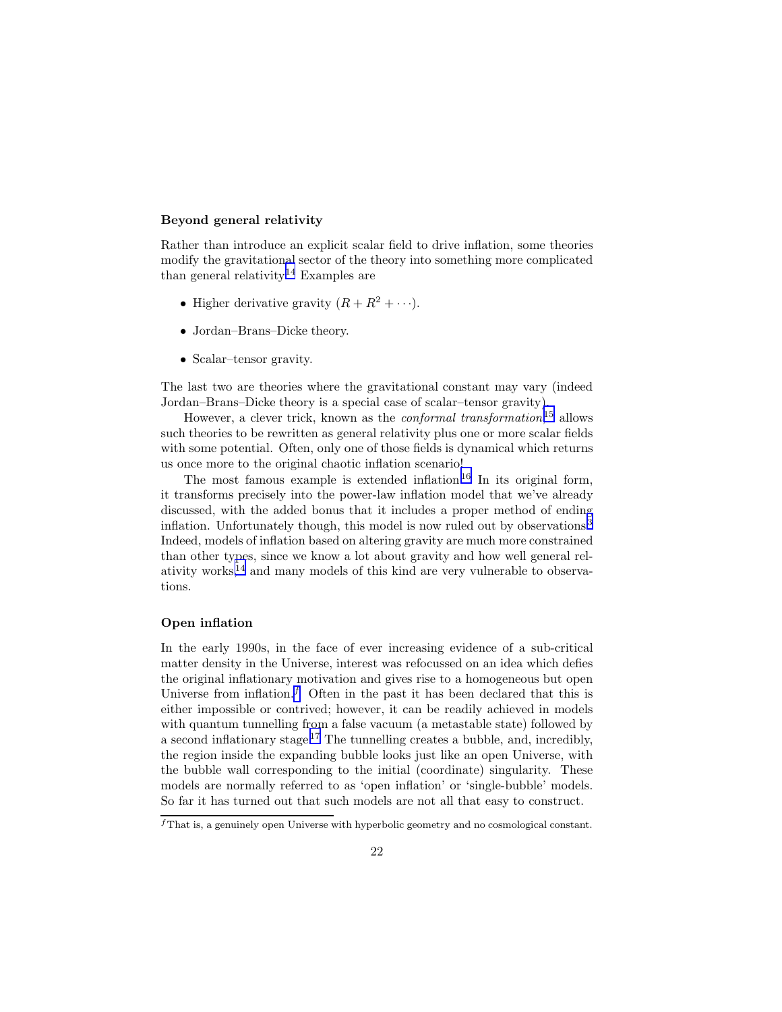# Beyond general relativity

Rather than introduce an explicit scalar field to drive inflation, some theories modify the gravitational sector of the theory into something more complicated than general relativity.<sup>[14](#page-34-0)</sup> Examples are

- Higher derivative gravity  $(R + R^2 + \cdots)$ .
- Jordan–Brans–Dicke theory.
- Scalar–tensor gravity.

The last two are theories where the gravitational constant may vary (indeed Jordan–Brans–Dicke theory is a special case of scalar–tensor gravity).

However, a clever trick, known as the *conformal transformation*<sup>[15](#page-34-0)</sup> allows such theories to be rewritten as general relativity plus one or more scalar fields with some potential. Often, only one of those fields is dynamical which returns us once more to the original chaotic inflation scenario!

The most famous example is extended inflation.<sup>[16](#page-34-0)</sup> In its original form, it transforms precisely into the power-law inflation model that we've already discussed, with the added bonus that it includes a proper method of ending inflation. Unfortunately though, this model is now ruled out by observations.<sup>[3](#page-33-0)</sup> Indeed, models of inflation based on altering gravity are much more constrained than other types, since we know a lot about gravity and how well general rel-ativity works,<sup>[14](#page-34-0)</sup> and many models of this kind are very vulnerable to observations.

## Open inflation

In the early 1990s, in the face of ever increasing evidence of a sub-critical matter density in the Universe, interest was refocussed on an idea which defies the original inflationary motivation and gives rise to a homogeneous but open Universe from inflation.<sup>f</sup> Often in the past it has been declared that this is either impossible or contrived; however, it can be readily achieved in models with quantum tunnelling from a false vacuum (a metastable state) followed by a second inflationary stage.<sup>[17](#page-34-0)</sup> The tunnelling creates a bubble, and, incredibly, the region inside the expanding bubble looks just like an open Universe, with the bubble wall corresponding to the initial (coordinate) singularity. These models are normally referred to as 'open inflation' or 'single-bubble' models. So far it has turned out that such models are not all that easy to construct.

 $<sup>f</sup>$ That is, a genuinely open Universe with hyperbolic geometry and no cosmological constant.</sup>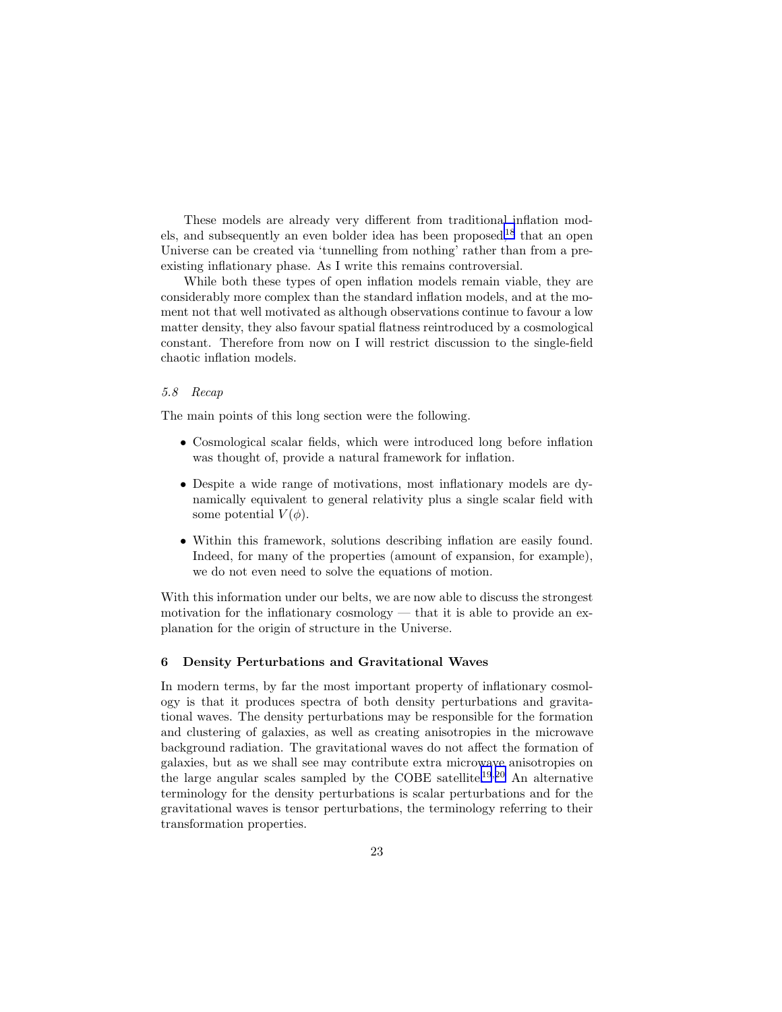These models are already very different from traditional inflation mod-els, and subsequently an even bolder idea has been proposed,<sup>[18](#page-34-0)</sup> that an open Universe can be created via 'tunnelling from nothing' rather than from a preexisting inflationary phase. As I write this remains controversial.

While both these types of open inflation models remain viable, they are considerably more complex than the standard inflation models, and at the moment not that well motivated as although observations continue to favour a low matter density, they also favour spatial flatness reintroduced by a cosmological constant. Therefore from now on I will restrict discussion to the single-field chaotic inflation models.

# *5.8 Recap*

The main points of this long section were the following.

- Cosmological scalar fields, which were introduced long before inflation was thought of, provide a natural framework for inflation.
- Despite a wide range of motivations, most inflationary models are dynamically equivalent to general relativity plus a single scalar field with some potential  $V(\phi)$ .
- Within this framework, solutions describing inflation are easily found. Indeed, for many of the properties (amount of expansion, for example), we do not even need to solve the equations of motion.

With this information under our belts, we are now able to discuss the strongest motivation for the inflationary cosmology — that it is able to provide an explanation for the origin of structure in the Universe.

# 6 Density Perturbations and Gravitational Waves

In modern terms, by far the most important property of inflationary cosmology is that it produces spectra of both density perturbations and gravitational waves. The density perturbations may be responsible for the formation and clustering of galaxies, as well as creating anisotropies in the microwave background radiation. The gravitational waves do not affect the formation of galaxies, but as we shall see may contribute extra microwave anisotropies on the large angular scales sampled by the COBE satellite.<sup>[19](#page-34-0),[20](#page-34-0)</sup> An alternative terminology for the density perturbations is scalar perturbations and for the gravitational waves is tensor perturbations, the terminology referring to their transformation properties.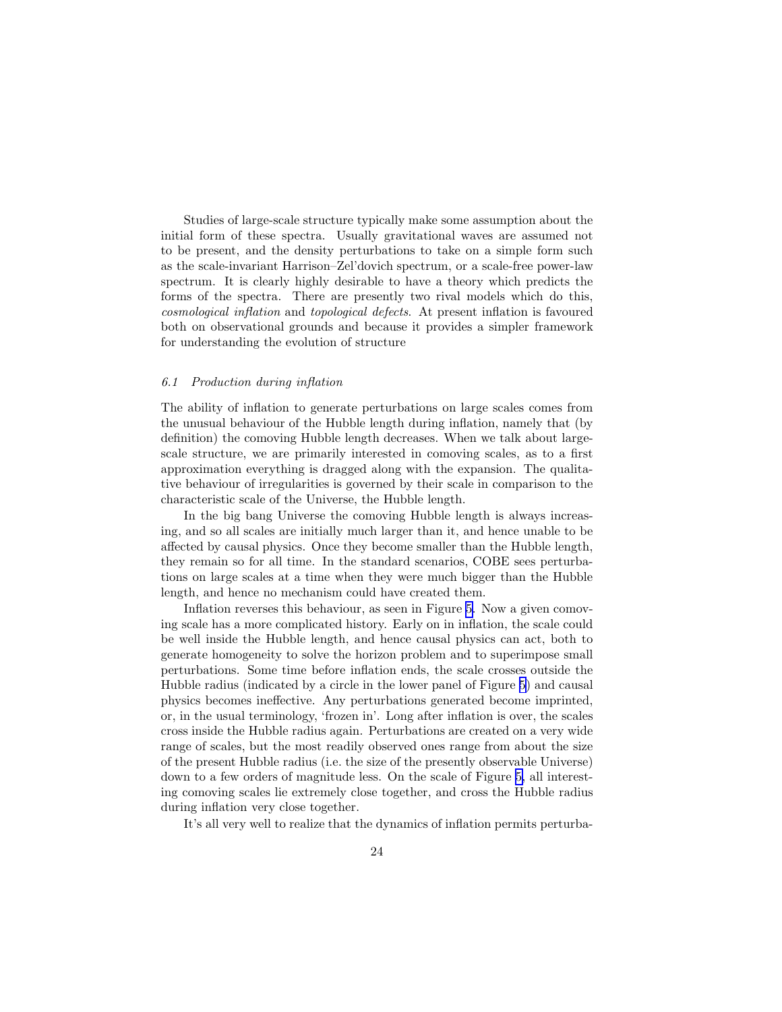Studies of large-scale structure typically make some assumption about the initial form of these spectra. Usually gravitational waves are assumed not to be present, and the density perturbations to take on a simple form such as the scale-invariant Harrison–Zel'dovich spectrum, or a scale-free power-law spectrum. It is clearly highly desirable to have a theory which predicts the forms of the spectra. There are presently two rival models which do this, *cosmological inflation* and *topological defects*. At present inflation is favoured both on observational grounds and because it provides a simpler framework for understanding the evolution of structure

# *6.1 Production during inflation*

The ability of inflation to generate perturbations on large scales comes from the unusual behaviour of the Hubble length during inflation, namely that (by definition) the comoving Hubble length decreases. When we talk about largescale structure, we are primarily interested in comoving scales, as to a first approximation everything is dragged along with the expansion. The qualitative behaviour of irregularities is governed by their scale in comparison to the characteristic scale of the Universe, the Hubble length.

In the big bang Universe the comoving Hubble length is always increasing, and so all scales are initially much larger than it, and hence unable to be affected by causal physics. Once they become smaller than the Hubble length, they remain so for all time. In the standard scenarios, COBE sees perturbations on large scales at a time when they were much bigger than the Hubble length, and hence no mechanism could have created them.

Inflation reverses this behaviour, as seen in Figure [5.](#page-24-0) Now a given comoving scale has a more complicated history. Early on in inflation, the scale could be well inside the Hubble length, and hence causal physics can act, both to generate homogeneity to solve the horizon problem and to superimpose small perturbations. Some time before inflation ends, the scale crosses outside the Hubble radius (indicated by a circle in the lower panel of Figure [5\)](#page-24-0) and causal physics becomes ineffective. Any perturbations generated become imprinted, or, in the usual terminology, 'frozen in'. Long after inflation is over, the scales cross inside the Hubble radius again. Perturbations are created on a very wide range of scales, but the most readily observed ones range from about the size of the present Hubble radius (i.e. the size of the presently observable Universe) down to a few orders of magnitude less. On the scale of Figure [5,](#page-24-0) all interesting comoving scales lie extremely close together, and cross the Hubble radius during inflation very close together.

It's all very well to realize that the dynamics of inflation permits perturba-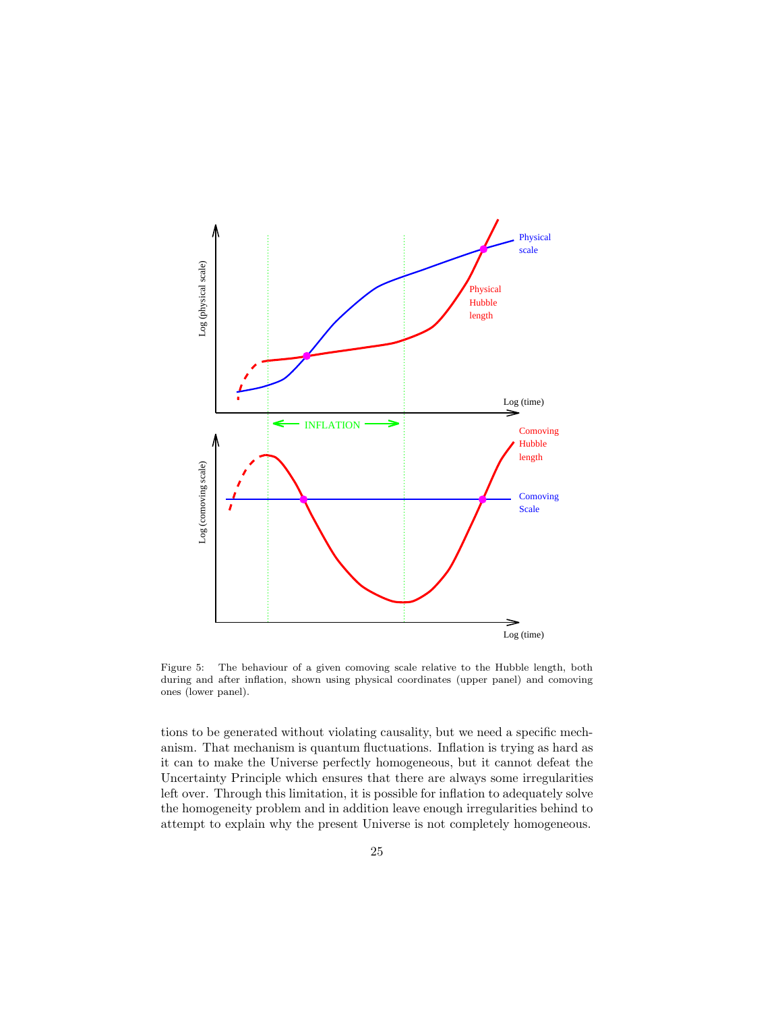<span id="page-24-0"></span>

Figure 5: The behaviour of a given comoving scale relative to the Hubble length, both during and after inflation, shown using physical coordinates (upper panel) and comoving ones (lower panel).

tions to be generated without violating causality, but we need a specific mechanism. That mechanism is quantum fluctuations. Inflation is trying as hard as it can to make the Universe perfectly homogeneous, but it cannot defeat the Uncertainty Principle which ensures that there are always some irregularities left over. Through this limitation, it is possible for inflation to adequately solve the homogeneity problem and in addition leave enough irregularities behind to attempt to explain why the present Universe is not completely homogeneous.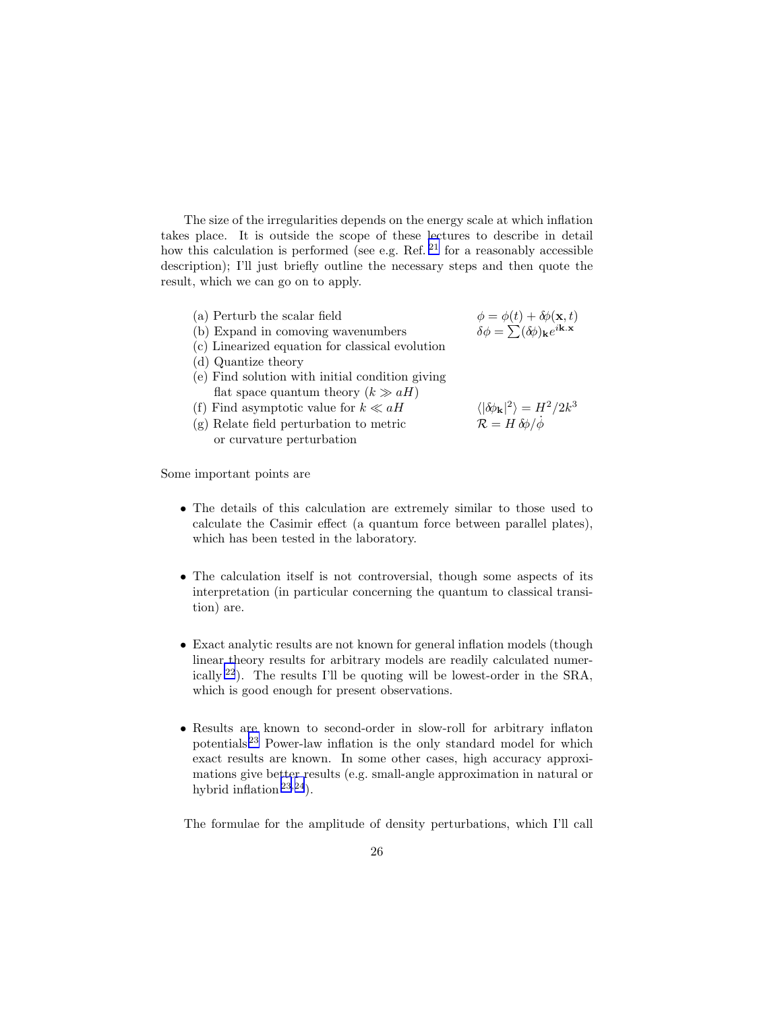The size of the irregularities depends on the energy scale at which inflation takes place. It is outside the scope of these lectures to describe in detail how this calculation is performed (see e.g. Ref.  $^{21}$  $^{21}$  $^{21}$  for a reasonably accessible description); I'll just briefly outline the necessary steps and then quote the result, which we can go on to apply.

- (a) Perturb the scalar field  $(b)$  Expand in comoving wavenumbers  $\sum^{\cdot }(\delta\!\phi)_{\bf k}e^{i{\bf k}.{\bf x}}$ (c) Linearized equation for classical evolution (d) Quantize theory
- (e) Find solution with initial condition giving flat space quantum theory  $(k \gg aH)$
- (f) Find asymptotic value for  $k \ll aH$
- $(g)$  Relate field perturbation to metric or curvature perturbation

$$
\langle |\delta \phi_{\mathbf{k}}|^2 \rangle = H^2 / 2k^3
$$
  

$$
\mathcal{R} = H \, \delta \phi / \dot{\phi}
$$

Some important points are

- The details of this calculation are extremely similar to those used to calculate the Casimir effect (a quantum force between parallel plates), which has been tested in the laboratory.
- The calculation itself is not controversial, though some aspects of its interpretation (in particular concerning the quantum to classical transition) are.
- Exact analytic results are not known for general inflation models (though linear theory results for arbitrary models are readily calculated numerically [22](#page-34-0)). The results I'll be quoting will be lowest-order in the SRA, which is good enough for present observations.
- Results are known to second-order in slow-roll for arbitrary inflaton potentials.[23](#page-34-0) Power-law inflation is the only standard model for which exact results are known. In some other cases, high accuracy approximations give better results (e.g. small-angle approximation in natural or hybrid inflation [23](#page-34-0),[24](#page-34-0)).

The formulae for the amplitude of density perturbations, which I'll call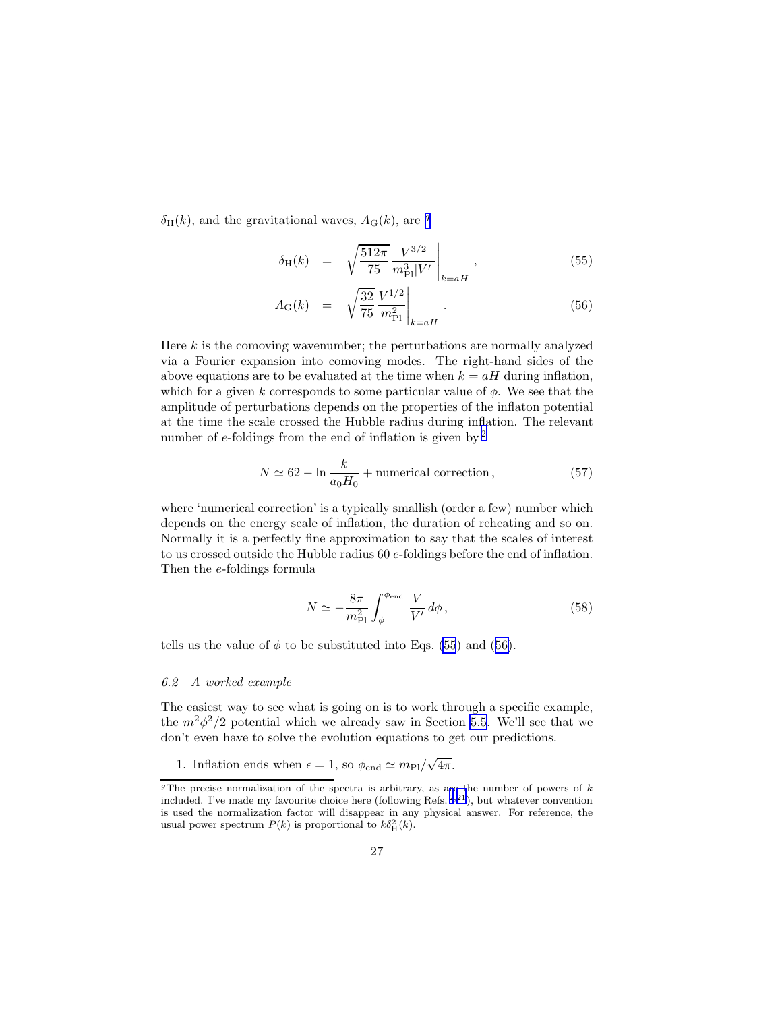<span id="page-26-0"></span> $\delta_H(k)$ , and the gravitational waves,  $A_G(k)$ , are g

$$
\delta_{\rm H}(k) = \sqrt{\frac{512\pi}{75}} \frac{V^{3/2}}{m_{\rm Pl}^3 |V'|}\Big|_{k=aH}, \qquad (55)
$$

$$
A_{\rm G}(k) = \sqrt{\frac{32}{75}} \frac{V^{1/2}}{m_{\rm Pl}^2} \bigg|_{k=aH} . \tag{56}
$$

Here  $k$  is the comoving wavenumber; the perturbations are normally analyzed via a Fourier expansion into comoving modes. The right-hand sides of the above equations are to be evaluated at the time when  $k = aH$  during inflation, which for a given k corresponds to some particular value of  $\phi$ . We see that the amplitude of perturbations depends on the properties of the inflaton potential at the time the scale crossed the Hubble radius during inflation. The relevant number of  $e$ -foldings from the end of inflation is given by  $2$ 

$$
N \simeq 62 - \ln \frac{k}{a_0 H_0} + \text{numerical correction},\tag{57}
$$

where 'numerical correction' is a typically smallish (order a few) number which depends on the energy scale of inflation, the duration of reheating and so on. Normally it is a perfectly fine approximation to say that the scales of interest to us crossed outside the Hubble radius 60 e-foldings before the end of inflation. Then the e-foldings formula

$$
N \simeq -\frac{8\pi}{m_{\rm Pl}^2} \int_{\phi}^{\phi_{\rm end}} \frac{V}{V'} d\phi \,, \tag{58}
$$

tells us the value of  $\phi$  to be substituted into Eqs. (55) and (56).

# *6.2 A worked example*

The easiest way to see what is going on is to work through a specific example, the  $m^2\phi^2/2$  potential which we already saw in Section [5.5](#page-16-0). We'll see that we don't even have to solve the evolution equations to get our predictions.

1. Inflation ends when  $\epsilon = 1$ , so  $\phi_{end} \simeq m_{\rm Pl}/\sqrt{4\pi}$ .

<sup>&</sup>lt;sup>g</sup>The precise normalization of the spectra is arbitrary, as are the number of powers of  $k$ included. I've made my favourite choice here (following Refs. [2](#page-33-0),[21](#page-34-0)), but whatever convention is used the normalization factor will disappear in any physical answer. For reference, the usual power spectrum  $P(k)$  is proportional to  $k\delta_{\rm H}^2(k)$ .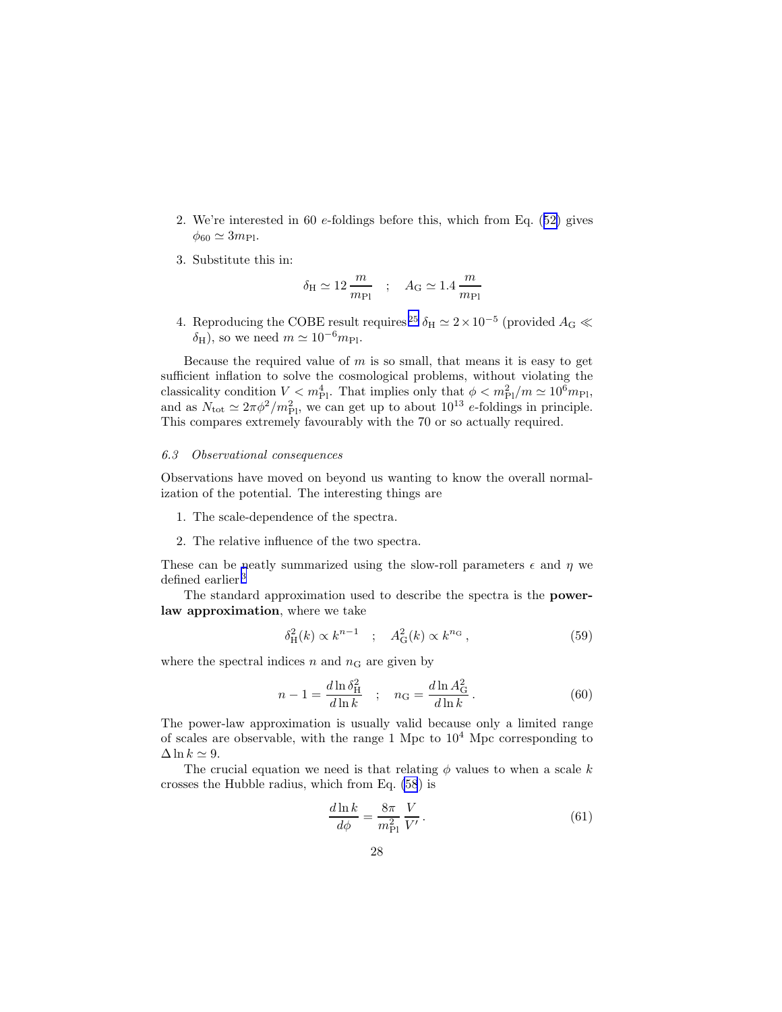- 2. We're interested in 60 e-foldings before this, which from Eq. ([52\)](#page-17-0) gives  $\phi_{60} \simeq 3m_{\rm Pl}.$
- 3. Substitute this in:

$$
\delta_{\rm H} \simeq 12 \frac{m}{m_{\rm Pl}} \quad ; \quad A_{\rm G} \simeq 1.4 \frac{m}{m_{\rm Pl}}
$$

4. Reproducing the COBE result requires <sup>[25](#page-34-0)</sup>  $\delta_H \simeq 2 \times 10^{-5}$  (provided  $A_G \ll$  $\delta_{\rm H}$ ), so we need  $m \simeq 10^{-6} m_{\rm Pl}$ .

Because the required value of  $m$  is so small, that means it is easy to get sufficient inflation to solve the cosmological problems, without violating the classicality condition  $V < m_{\rm Pl}^4$ . That implies only that  $\phi < m_{\rm Pl}^2/m \simeq 10^6 m_{\rm Pl}$ , and as  $N_{\text{tot}} \simeq 2\pi\phi^2/m_{\text{Pl}}^2$ , we can get up to about  $10^{13}$  e-foldings in principle. This compares extremely favourably with the 70 or so actually required.

# *6.3 Observational consequences*

Observations have moved on beyond us wanting to know the overall normalization of the potential. The interesting things are

- 1. The scale-dependence of the spectra.
- 2. The relative influence of the two spectra.

These can be neatly summarized using the slow-roll parameters  $\epsilon$  and  $\eta$  we defined earlier.<sup>[3](#page-33-0)</sup>

The standard approximation used to describe the spectra is the powerlaw approximation, where we take

$$
\delta_H^2(k) \propto k^{n-1} \quad ; \quad A_G^2(k) \propto k^{n_G} \,, \tag{59}
$$

where the spectral indices n and  $n<sub>G</sub>$  are given by

$$
n - 1 = \frac{d \ln \delta_H^2}{d \ln k} \quad ; \quad n_G = \frac{d \ln A_G^2}{d \ln k} \,. \tag{60}
$$

The power-law approximation is usually valid because only a limited range of scales are observable, with the range  $1 \text{ Mpc}$  to  $10^4 \text{ Mpc}$  corresponding to  $\Delta \ln k \simeq 9.$ 

The crucial equation we need is that relating  $\phi$  values to when a scale k crosses the Hubble radius, which from Eq. [\(58](#page-26-0)) is

$$
\frac{d\ln k}{d\phi} = \frac{8\pi}{m_{\rm Pl}^2} \frac{V}{V'}.\tag{61}
$$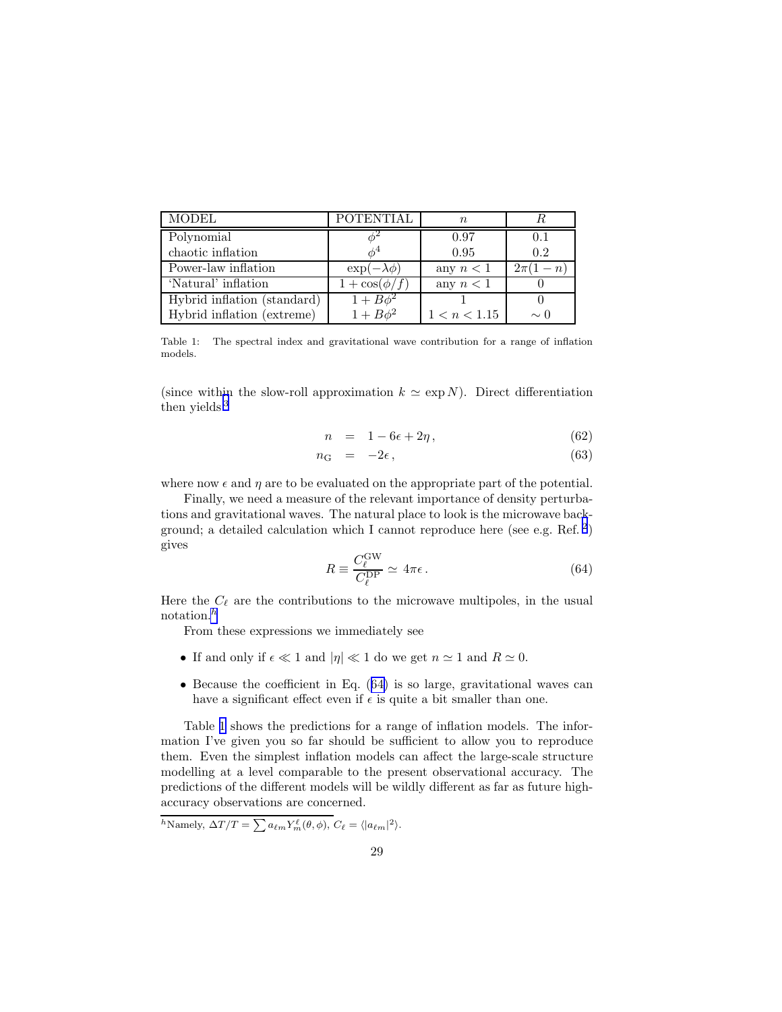| MODEL                       | <b>POTENTIAL</b>      | $\, n$       | К             |
|-----------------------------|-----------------------|--------------|---------------|
| Polynomial                  |                       | 0.97         | 0.1           |
| chaotic inflation           | $\phi^4$              | 0.95         | 0.2           |
| Power-law inflation         | $\exp(-\lambda \phi)$ | any $n < 1$  | $2\pi(1 - n)$ |
| 'Natural' inflation         | $1+\cos(\phi/f)$      | any $n < 1$  |               |
| Hybrid inflation (standard) | $1+B\phi^2$           |              |               |
| Hybrid inflation (extreme)  | $1 + B\phi^2$         | 1 < n < 1.15 | $\sim$ 0      |

Table 1: The spectral index and gravitational wave contribution for a range of inflation models.

(since within the slow-roll approximation  $k \simeq \exp N$ ). Direct differentiation then yields [3](#page-33-0)

$$
n = 1 - 6\epsilon + 2\eta, \tag{62}
$$

$$
n_{\rm G} = -2\epsilon, \tag{63}
$$

where now  $\epsilon$  and  $\eta$  are to be evaluated on the appropriate part of the potential.

Finally, we need a measure of the relevant importance of density perturbations and gravitational waves. The natural place to look is the microwave background; a detailed calculation which I cannot reproduce here (see e.g. Ref.  $2)$  $2)$ ) gives

$$
R \equiv \frac{C_{\ell}^{\text{GW}}}{C_{\ell}^{\text{DP}}} \simeq 4\pi\epsilon. \tag{64}
$$

Here the  $C_{\ell}$  are the contributions to the microwave multipoles, in the usual notation.<sup>h</sup>

From these expressions we immediately see

- If and only if  $\epsilon \ll 1$  and  $|\eta| \ll 1$  do we get  $n \simeq 1$  and  $R \simeq 0$ .
- Because the coefficient in Eq.  $(64)$  is so large, gravitational waves can have a significant effect even if  $\epsilon$  is quite a bit smaller than one.

Table 1 shows the predictions for a range of inflation models. The information I've given you so far should be sufficient to allow you to reproduce them. Even the simplest inflation models can affect the large-scale structure modelling at a level comparable to the present observational accuracy. The predictions of the different models will be wildly different as far as future highaccuracy observations are concerned.

<sup>h</sup>Namely,  $\Delta T/T = \sum a_{\ell m} Y_m^{\ell}(\theta, \phi), C_{\ell} = \langle |a_{\ell m}|^2 \rangle.$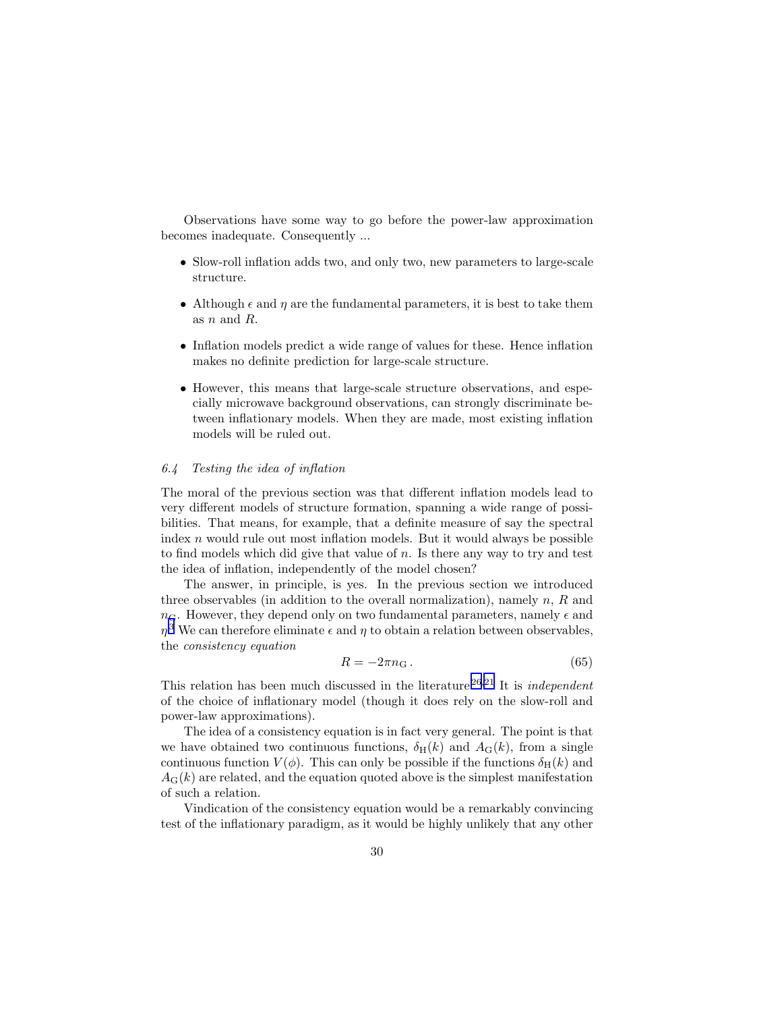Observations have some way to go before the power-law approximation becomes inadequate. Consequently ...

- Slow-roll inflation adds two, and only two, new parameters to large-scale structure.
- Although  $\epsilon$  and  $\eta$  are the fundamental parameters, it is best to take them as  $n$  and  $R$ .
- Inflation models predict a wide range of values for these. Hence inflation makes no definite prediction for large-scale structure.
- However, this means that large-scale structure observations, and especially microwave background observations, can strongly discriminate between inflationary models. When they are made, most existing inflation models will be ruled out.

#### *6.4 Testing the idea of inflation*

The moral of the previous section was that different inflation models lead to very different models of structure formation, spanning a wide range of possibilities. That means, for example, that a definite measure of say the spectral index  $n$  would rule out most inflation models. But it would always be possible to find models which did give that value of n. Is there any way to try and test the idea of inflation, independently of the model chosen?

The answer, in principle, is yes. In the previous section we introduced three observables (in addition to the overall normalization), namely  $n, R$  and  $n_{\rm G}$ . However, they depend only on two fundamental parameters, namely  $\epsilon$  and  $\eta^3$  $\eta^3$  We can therefore eliminate  $\epsilon$  and  $\eta$  to obtain a relation between observables, the *consistency equation*

$$
R = -2\pi n_{\rm G} \,. \tag{65}
$$

This relation has been much discussed in the literature.[26](#page-34-0),[21](#page-34-0) It is *independent* of the choice of inflationary model (though it does rely on the slow-roll and power-law approximations).

The idea of a consistency equation is in fact very general. The point is that we have obtained two continuous functions,  $\delta_H(k)$  and  $A_G(k)$ , from a single continuous function  $V(\phi)$ . This can only be possible if the functions  $\delta_H(k)$  and  $A_{\mathbf{G}}(k)$  are related, and the equation quoted above is the simplest manifestation of such a relation.

Vindication of the consistency equation would be a remarkably convincing test of the inflationary paradigm, as it would be highly unlikely that any other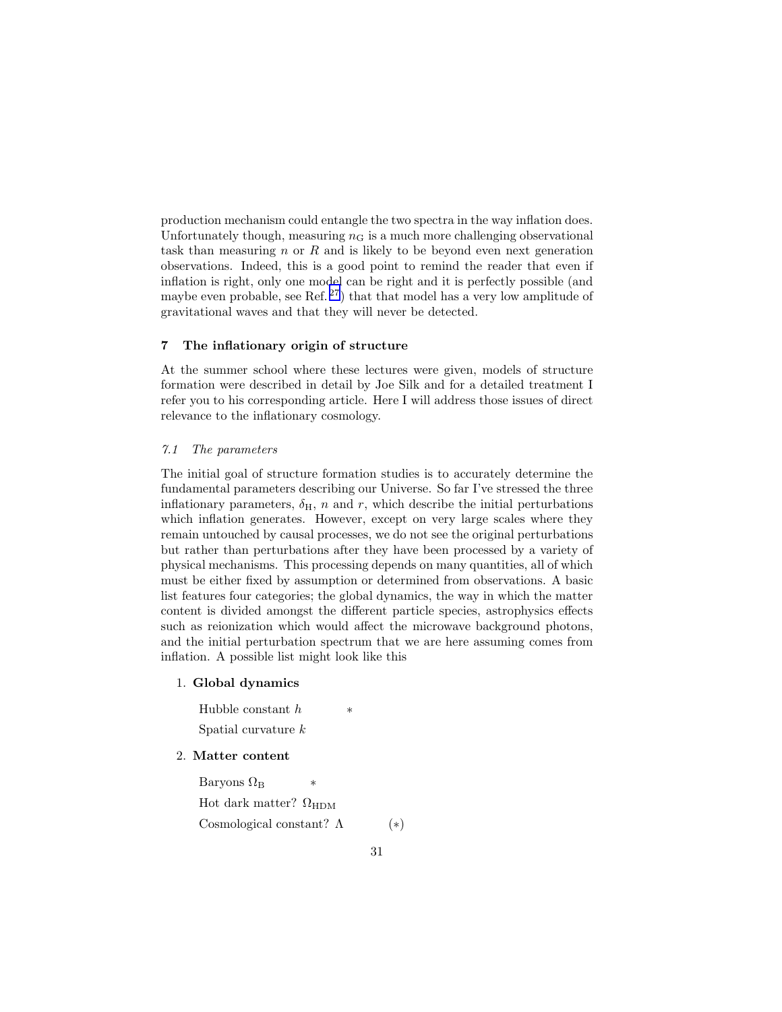production mechanism could entangle the two spectra in the way inflation does. Unfortunately though, measuring  $n<sub>G</sub>$  is a much more challenging observational task than measuring  $n$  or  $R$  and is likely to be beyond even next generation observations. Indeed, this is a good point to remind the reader that even if inflation is right, only one model can be right and it is perfectly possible (and maybe even probable, see Ref.<sup>[27](#page-34-0)</sup>) that that model has a very low amplitude of gravitational waves and that they will never be detected.

# 7 The inflationary origin of structure

At the summer school where these lectures were given, models of structure formation were described in detail by Joe Silk and for a detailed treatment I refer you to his corresponding article. Here I will address those issues of direct relevance to the inflationary cosmology.

# *7.1 The parameters*

The initial goal of structure formation studies is to accurately determine the fundamental parameters describing our Universe. So far I've stressed the three inflationary parameters,  $\delta_{H}$ , n and r, which describe the initial perturbations which inflation generates. However, except on very large scales where they remain untouched by causal processes, we do not see the original perturbations but rather than perturbations after they have been processed by a variety of physical mechanisms. This processing depends on many quantities, all of which must be either fixed by assumption or determined from observations. A basic list features four categories; the global dynamics, the way in which the matter content is divided amongst the different particle species, astrophysics effects such as reionization which would affect the microwave background photons, and the initial perturbation spectrum that we are here assuming comes from inflation. A possible list might look like this

### 1. Global dynamics

Hubble constant  $h$ Spatial curvature k

### 2. Matter content

Baryons  $\Omega_{\rm B}$ Hot dark matter?  $Ω<sub>HDM</sub>$ Cosmological constant?  $\Lambda$  (\*)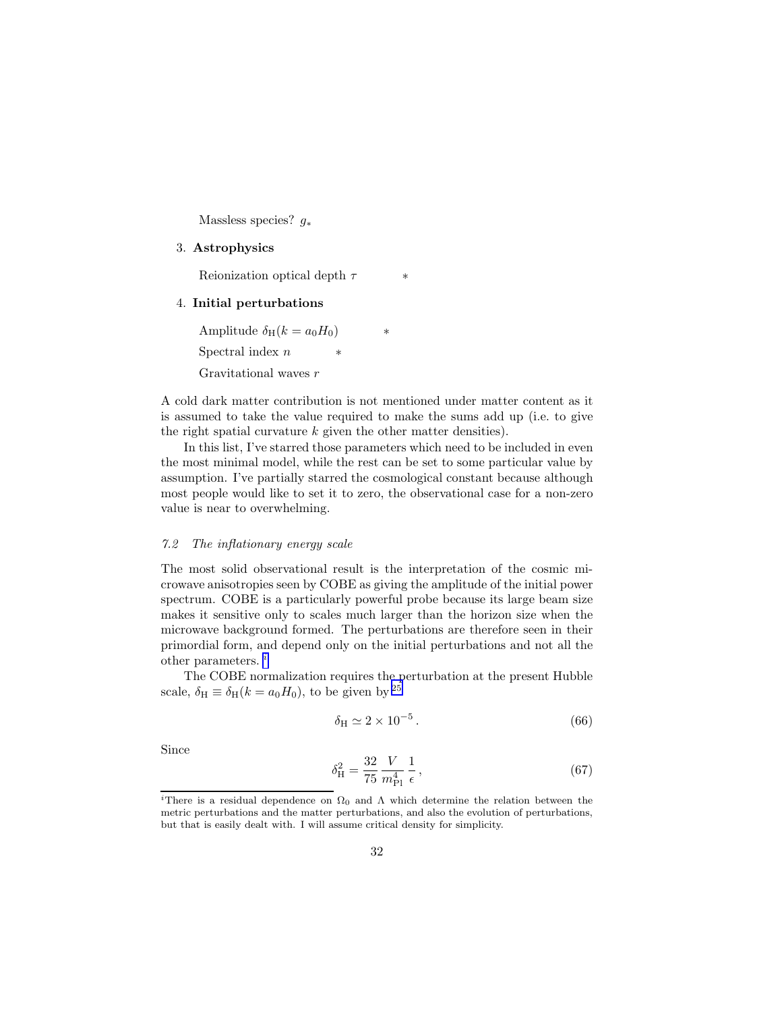Massless species? g<sup>∗</sup>

# 3. Astrophysics

Reionization optical depth  $\tau$ 

4. Initial perturbations

Amplitude  $\delta_H(k = a_0 H_0)$  \*

Spectral index  $n$ 

Gravitational waves r

A cold dark matter contribution is not mentioned under matter content as it is assumed to take the value required to make the sums add up (i.e. to give the right spatial curvature  $k$  given the other matter densities).

In this list, I've starred those parameters which need to be included in even the most minimal model, while the rest can be set to some particular value by assumption. I've partially starred the cosmological constant because although most people would like to set it to zero, the observational case for a non-zero value is near to overwhelming.

### *7.2 The inflationary energy scale*

The most solid observational result is the interpretation of the cosmic microwave anisotropies seen by COBE as giving the amplitude of the initial power spectrum. COBE is a particularly powerful probe because its large beam size makes it sensitive only to scales much larger than the horizon size when the microwave background formed. The perturbations are therefore seen in their primordial form, and depend only on the initial perturbations and not all the other parameters.  $^{i}$ 

The COBE normalization requires the perturbation at the present Hubble scale,  $\delta_{\rm H} \equiv \delta_{\rm H}(k = a_0 H_0)$ , to be given by <sup>[25](#page-34-0)</sup>

$$
\delta_H \simeq 2 \times 10^{-5} \,. \tag{66}
$$

Since

$$
\delta_H^2 = \frac{32}{75} \frac{V}{m_{\rm Pl}^4} \frac{1}{\epsilon},\tag{67}
$$

<sup>&</sup>lt;sup>*i*</sup>There is a residual dependence on  $\Omega_0$  and  $\Lambda$  which determine the relation between the metric perturbations and the matter perturbations, and also the evolution of perturbations, but that is easily dealt with. I will assume critical density for simplicity.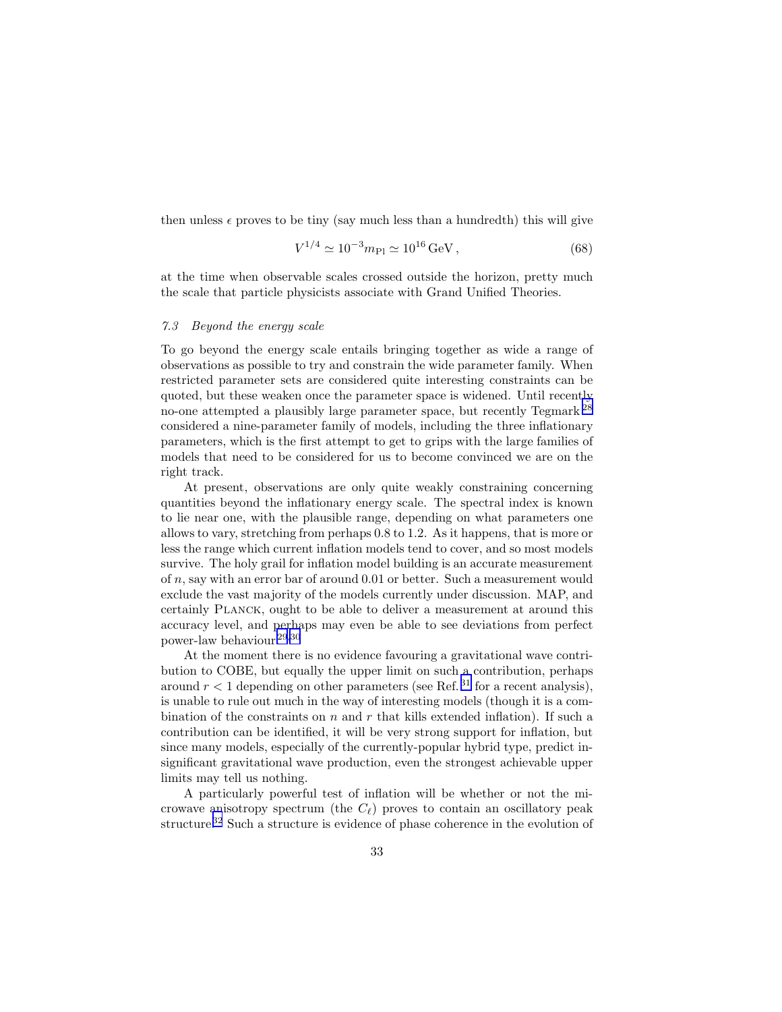then unless  $\epsilon$  proves to be tiny (say much less than a hundredth) this will give

$$
V^{1/4} \simeq 10^{-3} m_{\rm Pl} \simeq 10^{16} \,\text{GeV} \,,\tag{68}
$$

at the time when observable scales crossed outside the horizon, pretty much the scale that particle physicists associate with Grand Unified Theories.

#### *7.3 Beyond the energy scale*

To go beyond the energy scale entails bringing together as wide a range of observations as possible to try and constrain the wide parameter family. When restricted parameter sets are considered quite interesting constraints can be quoted, but these weaken once the parameter space is widened. Until recently no-one attempted a plausibly large parameter space, but recently Tegmark<sup>[28](#page-34-0)</sup> considered a nine-parameter family of models, including the three inflationary parameters, which is the first attempt to get to grips with the large families of models that need to be considered for us to become convinced we are on the right track.

At present, observations are only quite weakly constraining concerning quantities beyond the inflationary energy scale. The spectral index is known to lie near one, with the plausible range, depending on what parameters one allows to vary, stretching from perhaps 0.8 to 1.2. As it happens, that is more or less the range which current inflation models tend to cover, and so most models survive. The holy grail for inflation model building is an accurate measurement of n, say with an error bar of around 0.01 or better. Such a measurement would exclude the vast majority of the models currently under discussion. MAP, and certainly Planck, ought to be able to deliver a measurement at around this accuracy level, and perhaps may even be able to see deviations from perfect power-law behaviour.[29](#page-35-0),[30](#page-35-0)

At the moment there is no evidence favouring a gravitational wave contribution to COBE, but equally the upper limit on such a contribution, perhaps around  $r < 1$  depending on other parameters (see Ref.<sup>[31](#page-35-0)</sup> for a recent analysis), is unable to rule out much in the way of interesting models (though it is a combination of the constraints on  $n$  and  $r$  that kills extended inflation). If such a contribution can be identified, it will be very strong support for inflation, but since many models, especially of the currently-popular hybrid type, predict insignificant gravitational wave production, even the strongest achievable upper limits may tell us nothing.

A particularly powerful test of inflation will be whether or not the microwave anisotropy spectrum (the  $C_{\ell}$ ) proves to contain an oscillatory peak structure.[32](#page-35-0) Such a structure is evidence of phase coherence in the evolution of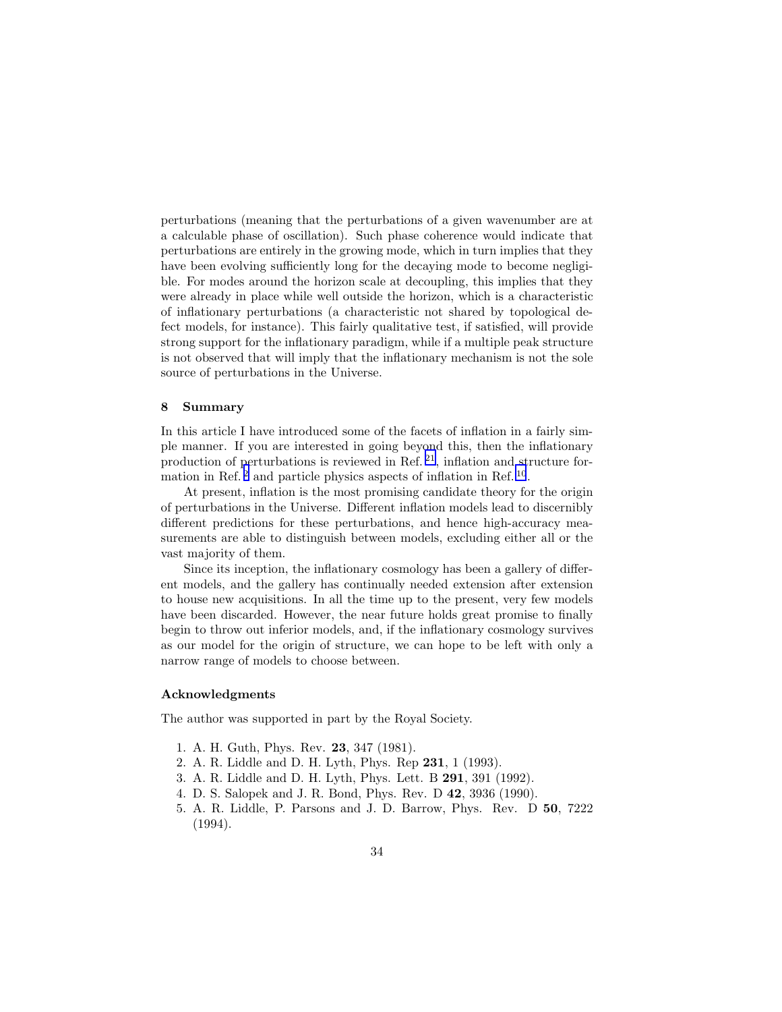<span id="page-33-0"></span>perturbations (meaning that the perturbations of a given wavenumber are at a calculable phase of oscillation). Such phase coherence would indicate that perturbations are entirely in the growing mode, which in turn implies that they have been evolving sufficiently long for the decaying mode to become negligible. For modes around the horizon scale at decoupling, this implies that they were already in place while well outside the horizon, which is a characteristic of inflationary perturbations (a characteristic not shared by topological defect models, for instance). This fairly qualitative test, if satisfied, will provide strong support for the inflationary paradigm, while if a multiple peak structure is not observed that will imply that the inflationary mechanism is not the sole source of perturbations in the Universe.

# 8 Summary

In this article I have introduced some of the facets of inflation in a fairly simple manner. If you are interested in going beyond this, then the inflationary production of perturbations is reviewed in Ref.<sup>[21](#page-34-0)</sup>, inflation and structure for-mation in Ref.<sup>2</sup> and particle physics aspects of inflation in Ref.<sup>[10](#page-34-0)</sup>.

At present, inflation is the most promising candidate theory for the origin of perturbations in the Universe. Different inflation models lead to discernibly different predictions for these perturbations, and hence high-accuracy measurements are able to distinguish between models, excluding either all or the vast majority of them.

Since its inception, the inflationary cosmology has been a gallery of different models, and the gallery has continually needed extension after extension to house new acquisitions. In all the time up to the present, very few models have been discarded. However, the near future holds great promise to finally begin to throw out inferior models, and, if the inflationary cosmology survives as our model for the origin of structure, we can hope to be left with only a narrow range of models to choose between.

# Acknowledgments

The author was supported in part by the Royal Society.

- 1. A. H. Guth, Phys. Rev. 23, 347 (1981).
- 2. A. R. Liddle and D. H. Lyth, Phys. Rep 231, 1 (1993).
- 3. A. R. Liddle and D. H. Lyth, Phys. Lett. B 291, 391 (1992).
- 4. D. S. Salopek and J. R. Bond, Phys. Rev. D 42, 3936 (1990).
- 5. A. R. Liddle, P. Parsons and J. D. Barrow, Phys. Rev. D 50, 7222 (1994).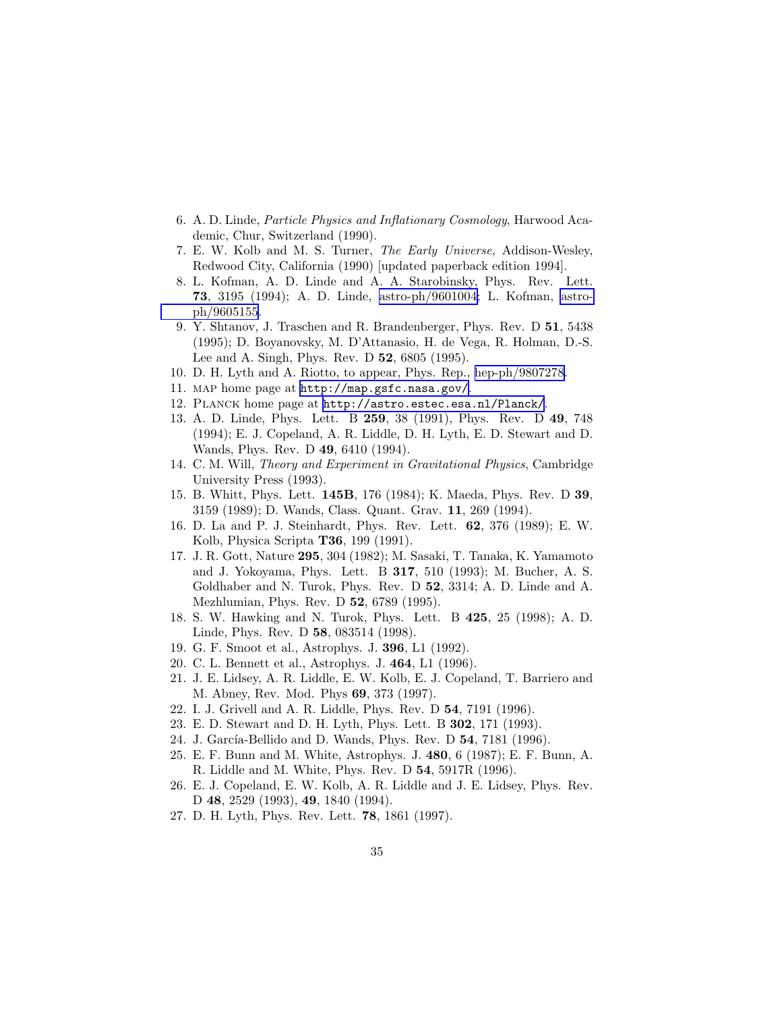- <span id="page-34-0"></span>6. A. D. Linde, *Particle Physics and Inflationary Cosmology*, Harwood Academic, Chur, Switzerland (1990).
- 7. E. W. Kolb and M. S. Turner, *The Early Universe*, Addison-Wesley, Redwood City, California (1990) [updated paperback edition 1994].
- 8. L. Kofman, A. D. Linde and A. A. Starobinsky, Phys. Rev. Lett. 73, 3195 (1994); A. D. Linde, [astro-ph/9601004;](http://arXiv.org/abs/astro-ph/9601004) L. Kofman, [astro](http://arXiv.org/abs/astro-ph/9605155)[ph/9605155](http://arXiv.org/abs/astro-ph/9605155).
- 9. Y. Shtanov, J. Traschen and R. Brandenberger, Phys. Rev. D 51, 5438 (1995); D. Boyanovsky, M. D'Attanasio, H. de Vega, R. Holman, D.-S. Lee and A. Singh, Phys. Rev. D 52, 6805 (1995).
- 10. D. H. Lyth and A. Riotto, to appear, Phys. Rep., [hep-ph/9807278.](http://arXiv.org/abs/hep-ph/9807278)
- 11. map home page at <http://map.gsfc.nasa.gov/>.
- 12. Planck home page at <http://astro.estec.esa.nl/Planck/>.
- 13. A. D. Linde, Phys. Lett. B 259, 38 (1991), Phys. Rev. D 49, 748 (1994); E. J. Copeland, A. R. Liddle, D. H. Lyth, E. D. Stewart and D. Wands, Phys. Rev. D 49, 6410 (1994).
- 14. C. M. Will, *Theory and Experiment in Gravitational Physics*, Cambridge University Press (1993).
- 15. B. Whitt, Phys. Lett. 145B, 176 (1984); K. Maeda, Phys. Rev. D 39, 3159 (1989); D. Wands, Class. Quant. Grav. 11, 269 (1994).
- 16. D. La and P. J. Steinhardt, Phys. Rev. Lett. 62, 376 (1989); E. W. Kolb, Physica Scripta T36, 199 (1991).
- 17. J. R. Gott, Nature 295, 304 (1982); M. Sasaki, T. Tanaka, K. Yamamoto and J. Yokoyama, Phys. Lett. B 317, 510 (1993); M. Bucher, A. S. Goldhaber and N. Turok, Phys. Rev. D 52, 3314; A. D. Linde and A. Mezhlumian, Phys. Rev. D 52, 6789 (1995).
- 18. S. W. Hawking and N. Turok, Phys. Lett. B 425, 25 (1998); A. D. Linde, Phys. Rev. D 58, 083514 (1998).
- 19. G. F. Smoot et al., Astrophys. J. 396, L1 (1992).
- 20. C. L. Bennett et al., Astrophys. J. 464, L1 (1996).
- 21. J. E. Lidsey, A. R. Liddle, E. W. Kolb, E. J. Copeland, T. Barriero and M. Abney, Rev. Mod. Phys 69, 373 (1997).
- 22. I. J. Grivell and A. R. Liddle, Phys. Rev. D 54, 7191 (1996).
- 23. E. D. Stewart and D. H. Lyth, Phys. Lett. B 302, 171 (1993).
- 24. J. García-Bellido and D. Wands, Phys. Rev. D 54, 7181 (1996).
- 25. E. F. Bunn and M. White, Astrophys. J. 480, 6 (1987); E. F. Bunn, A. R. Liddle and M. White, Phys. Rev. D 54, 5917R (1996).
- 26. E. J. Copeland, E. W. Kolb, A. R. Liddle and J. E. Lidsey, Phys. Rev. D 48, 2529 (1993), 49, 1840 (1994).
- 27. D. H. Lyth, Phys. Rev. Lett. 78, 1861 (1997).